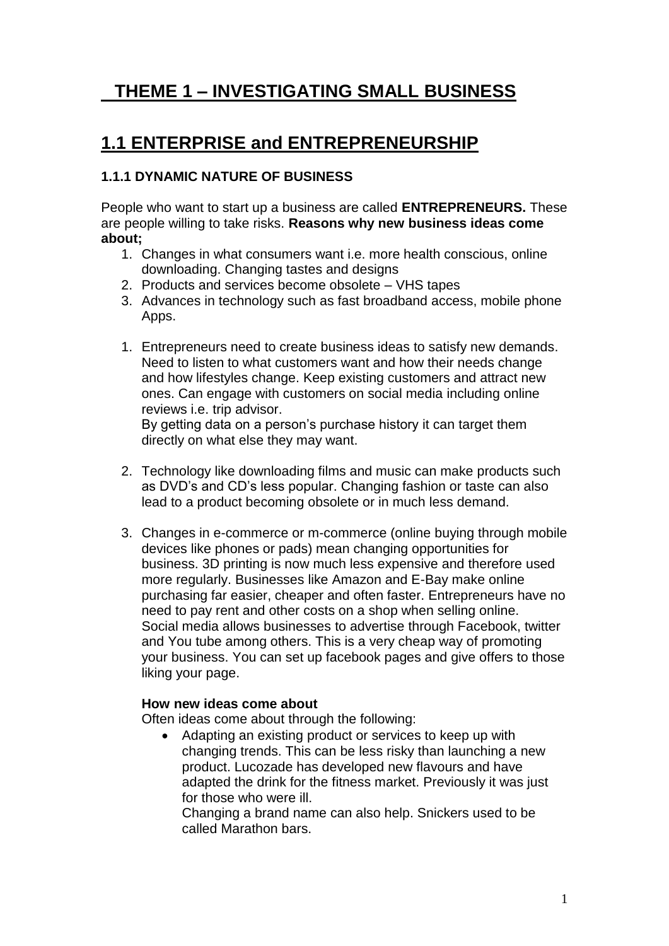# **THEME 1 – INVESTIGATING SMALL BUSINESS**

# **1.1 ENTERPRISE and ENTREPRENEURSHIP**

## **1.1.1 DYNAMIC NATURE OF BUSINESS**

People who want to start up a business are called **ENTREPRENEURS.** These are people willing to take risks. **Reasons why new business ideas come about;**

- 1. Changes in what consumers want i.e. more health conscious, online downloading. Changing tastes and designs
- 2. Products and services become obsolete VHS tapes
- 3. Advances in technology such as fast broadband access, mobile phone Apps.
- 1. Entrepreneurs need to create business ideas to satisfy new demands. Need to listen to what customers want and how their needs change and how lifestyles change. Keep existing customers and attract new ones. Can engage with customers on social media including online reviews i.e. trip advisor.

By getting data on a person's purchase history it can target them directly on what else they may want.

- 2. Technology like downloading films and music can make products such as DVD's and CD's less popular. Changing fashion or taste can also lead to a product becoming obsolete or in much less demand.
- 3. Changes in e-commerce or m-commerce (online buying through mobile devices like phones or pads) mean changing opportunities for business. 3D printing is now much less expensive and therefore used more regularly. Businesses like Amazon and E-Bay make online purchasing far easier, cheaper and often faster. Entrepreneurs have no need to pay rent and other costs on a shop when selling online. Social media allows businesses to advertise through Facebook, twitter and You tube among others. This is a very cheap way of promoting your business. You can set up facebook pages and give offers to those liking your page.

### **How new ideas come about**

Often ideas come about through the following:

• Adapting an existing product or services to keep up with changing trends. This can be less risky than launching a new product. Lucozade has developed new flavours and have adapted the drink for the fitness market. Previously it was just for those who were ill.

Changing a brand name can also help. Snickers used to be called Marathon bars.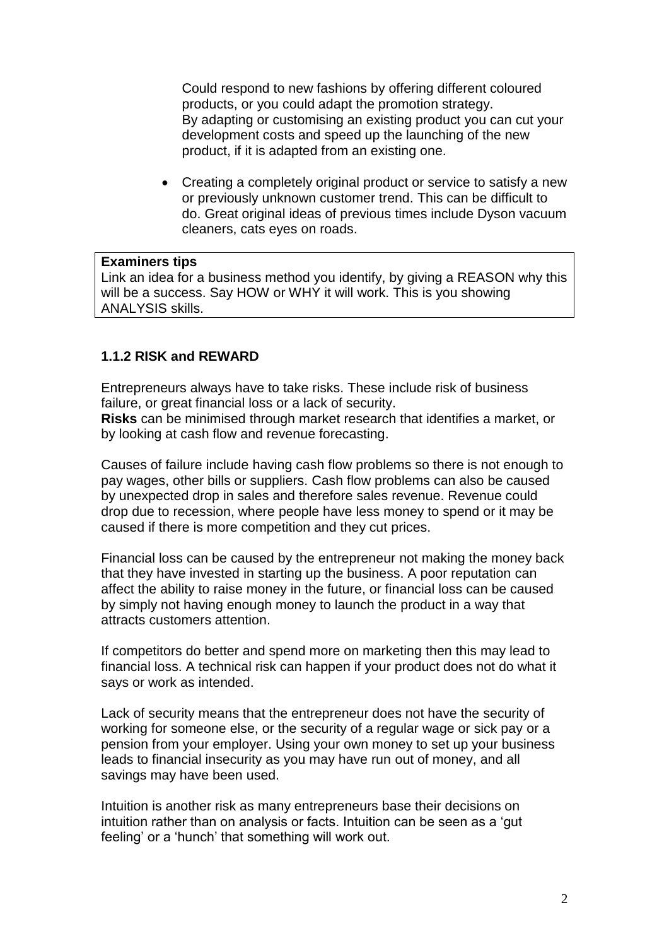Could respond to new fashions by offering different coloured products, or you could adapt the promotion strategy. By adapting or customising an existing product you can cut your development costs and speed up the launching of the new product, if it is adapted from an existing one.

• Creating a completely original product or service to satisfy a new or previously unknown customer trend. This can be difficult to do. Great original ideas of previous times include Dyson vacuum cleaners, cats eyes on roads.

#### **Examiners tips**

Link an idea for a business method you identify, by giving a REASON why this will be a success. Say HOW or WHY it will work. This is you showing ANALYSIS skills.

## **1.1.2 RISK and REWARD**

Entrepreneurs always have to take risks. These include risk of business failure, or great financial loss or a lack of security.

**Risks** can be minimised through market research that identifies a market, or by looking at cash flow and revenue forecasting.

Causes of failure include having cash flow problems so there is not enough to pay wages, other bills or suppliers. Cash flow problems can also be caused by unexpected drop in sales and therefore sales revenue. Revenue could drop due to recession, where people have less money to spend or it may be caused if there is more competition and they cut prices.

Financial loss can be caused by the entrepreneur not making the money back that they have invested in starting up the business. A poor reputation can affect the ability to raise money in the future, or financial loss can be caused by simply not having enough money to launch the product in a way that attracts customers attention.

If competitors do better and spend more on marketing then this may lead to financial loss. A technical risk can happen if your product does not do what it says or work as intended.

Lack of security means that the entrepreneur does not have the security of working for someone else, or the security of a regular wage or sick pay or a pension from your employer. Using your own money to set up your business leads to financial insecurity as you may have run out of money, and all savings may have been used.

Intuition is another risk as many entrepreneurs base their decisions on intuition rather than on analysis or facts. Intuition can be seen as a 'gut feeling' or a 'hunch' that something will work out.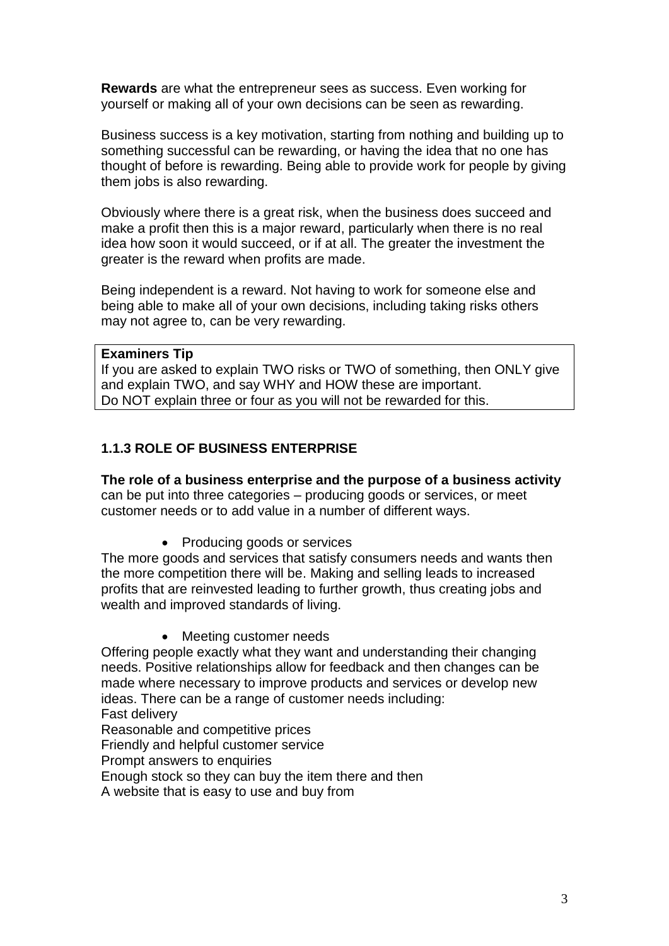**Rewards** are what the entrepreneur sees as success. Even working for yourself or making all of your own decisions can be seen as rewarding.

Business success is a key motivation, starting from nothing and building up to something successful can be rewarding, or having the idea that no one has thought of before is rewarding. Being able to provide work for people by giving them jobs is also rewarding.

Obviously where there is a great risk, when the business does succeed and make a profit then this is a major reward, particularly when there is no real idea how soon it would succeed, or if at all. The greater the investment the greater is the reward when profits are made.

Being independent is a reward. Not having to work for someone else and being able to make all of your own decisions, including taking risks others may not agree to, can be very rewarding.

#### **Examiners Tip**

If you are asked to explain TWO risks or TWO of something, then ONLY give and explain TWO, and say WHY and HOW these are important. Do NOT explain three or four as you will not be rewarded for this.

### **1.1.3 ROLE OF BUSINESS ENTERPRISE**

**The role of a business enterprise and the purpose of a business activity** can be put into three categories – producing goods or services, or meet customer needs or to add value in a number of different ways.

• Producing goods or services

The more goods and services that satisfy consumers needs and wants then the more competition there will be. Making and selling leads to increased profits that are reinvested leading to further growth, thus creating jobs and wealth and improved standards of living.

• Meeting customer needs

Offering people exactly what they want and understanding their changing needs. Positive relationships allow for feedback and then changes can be made where necessary to improve products and services or develop new ideas. There can be a range of customer needs including:

Fast delivery

Reasonable and competitive prices

Friendly and helpful customer service

Prompt answers to enquiries

Enough stock so they can buy the item there and then

A website that is easy to use and buy from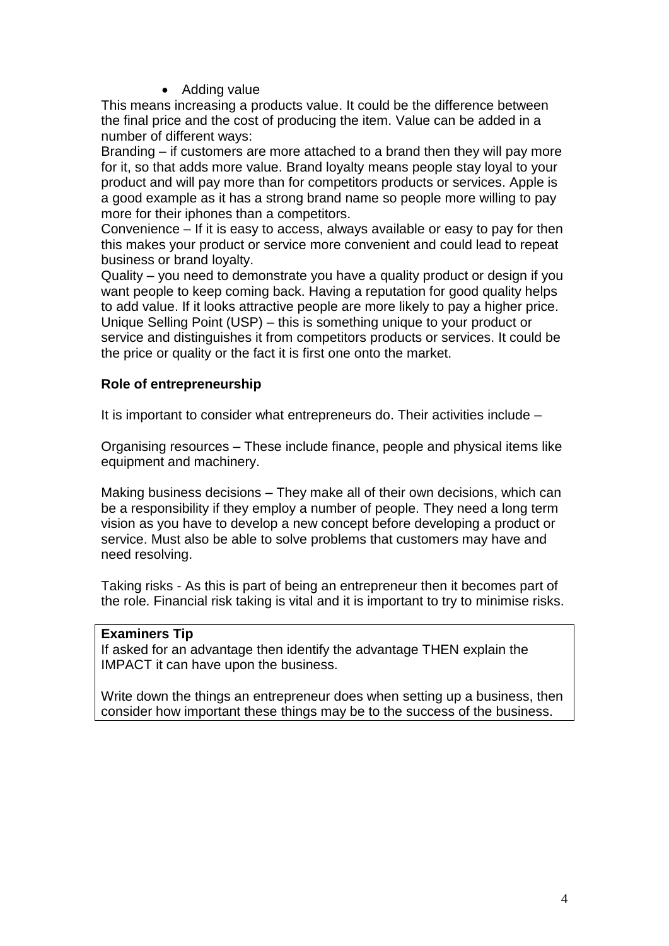• Adding value

This means increasing a products value. It could be the difference between the final price and the cost of producing the item. Value can be added in a number of different ways:

Branding – if customers are more attached to a brand then they will pay more for it, so that adds more value. Brand loyalty means people stay loyal to your product and will pay more than for competitors products or services. Apple is a good example as it has a strong brand name so people more willing to pay more for their iphones than a competitors.

Convenience – If it is easy to access, always available or easy to pay for then this makes your product or service more convenient and could lead to repeat business or brand loyalty.

Quality – you need to demonstrate you have a quality product or design if you want people to keep coming back. Having a reputation for good quality helps to add value. If it looks attractive people are more likely to pay a higher price. Unique Selling Point (USP) – this is something unique to your product or service and distinguishes it from competitors products or services. It could be the price or quality or the fact it is first one onto the market.

# **Role of entrepreneurship**

It is important to consider what entrepreneurs do. Their activities include –

Organising resources – These include finance, people and physical items like equipment and machinery.

Making business decisions – They make all of their own decisions, which can be a responsibility if they employ a number of people. They need a long term vision as you have to develop a new concept before developing a product or service. Must also be able to solve problems that customers may have and need resolving.

Taking risks - As this is part of being an entrepreneur then it becomes part of the role. Financial risk taking is vital and it is important to try to minimise risks.

### **Examiners Tip**

If asked for an advantage then identify the advantage THEN explain the IMPACT it can have upon the business.

Write down the things an entrepreneur does when setting up a business, then consider how important these things may be to the success of the business.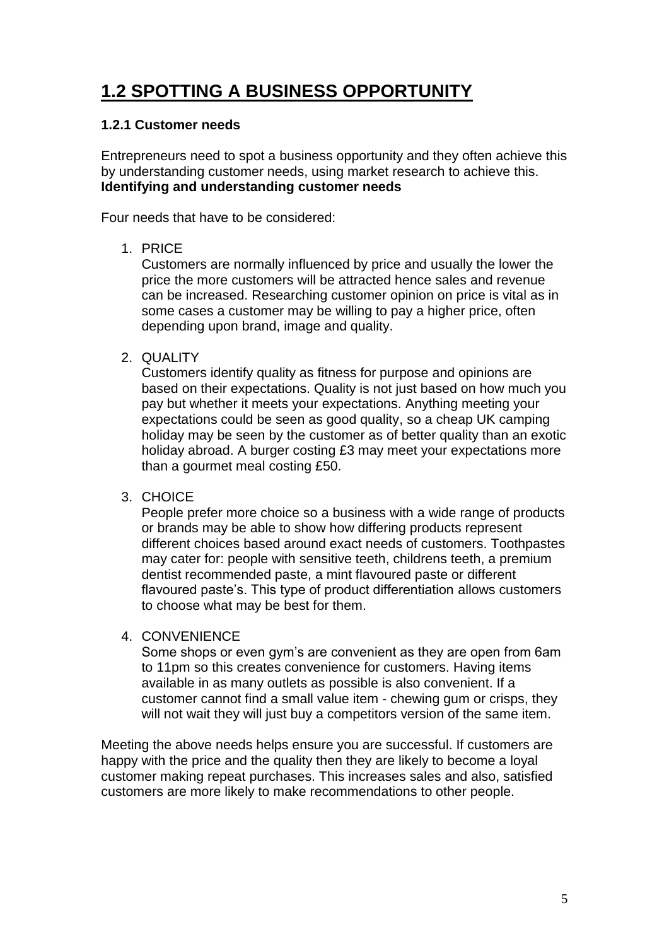# **1.2 SPOTTING A BUSINESS OPPORTUNITY**

## **1.2.1 Customer needs**

Entrepreneurs need to spot a business opportunity and they often achieve this by understanding customer needs, using market research to achieve this. **Identifying and understanding customer needs**

Four needs that have to be considered:

### 1. PRICE

Customers are normally influenced by price and usually the lower the price the more customers will be attracted hence sales and revenue can be increased. Researching customer opinion on price is vital as in some cases a customer may be willing to pay a higher price, often depending upon brand, image and quality.

2. QUALITY

Customers identify quality as fitness for purpose and opinions are based on their expectations. Quality is not just based on how much you pay but whether it meets your expectations. Anything meeting your expectations could be seen as good quality, so a cheap UK camping holiday may be seen by the customer as of better quality than an exotic holiday abroad. A burger costing £3 may meet your expectations more than a gourmet meal costing £50.

3. CHOICE

People prefer more choice so a business with a wide range of products or brands may be able to show how differing products represent different choices based around exact needs of customers. Toothpastes may cater for: people with sensitive teeth, childrens teeth, a premium dentist recommended paste, a mint flavoured paste or different flavoured paste's. This type of product differentiation allows customers to choose what may be best for them.

4. CONVENIENCE

Some shops or even gym's are convenient as they are open from 6am to 11pm so this creates convenience for customers. Having items available in as many outlets as possible is also convenient. If a customer cannot find a small value item - chewing gum or crisps, they will not wait they will just buy a competitors version of the same item.

Meeting the above needs helps ensure you are successful. If customers are happy with the price and the quality then they are likely to become a loyal customer making repeat purchases. This increases sales and also, satisfied customers are more likely to make recommendations to other people.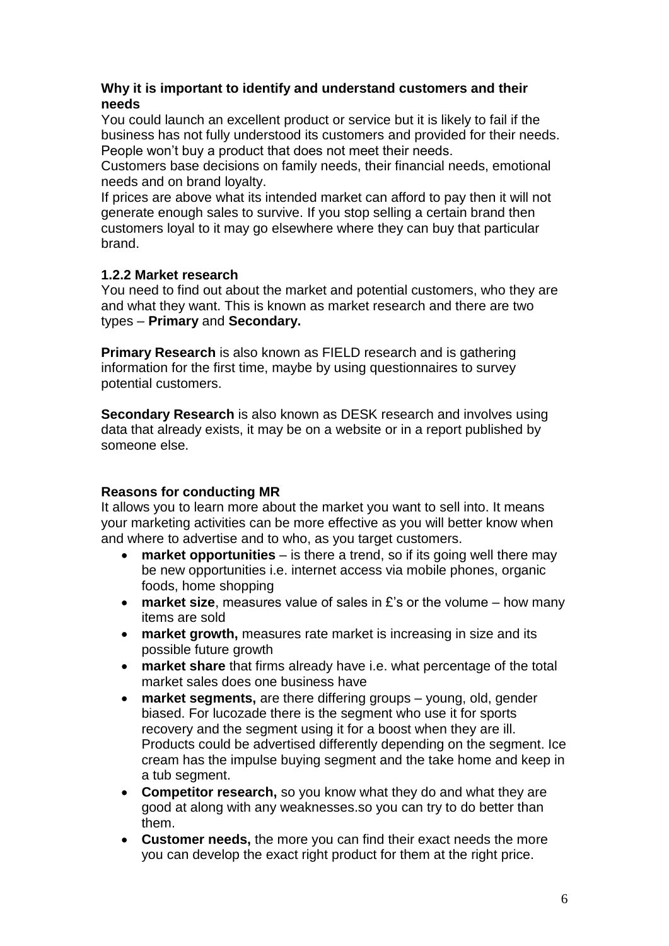## **Why it is important to identify and understand customers and their needs**

You could launch an excellent product or service but it is likely to fail if the business has not fully understood its customers and provided for their needs. People won't buy a product that does not meet their needs.

Customers base decisions on family needs, their financial needs, emotional needs and on brand loyalty.

If prices are above what its intended market can afford to pay then it will not generate enough sales to survive. If you stop selling a certain brand then customers loyal to it may go elsewhere where they can buy that particular brand.

## **1.2.2 Market research**

You need to find out about the market and potential customers, who they are and what they want. This is known as market research and there are two types – **Primary** and **Secondary.**

**Primary Research** is also known as FIELD research and is gathering information for the first time, maybe by using questionnaires to survey potential customers.

**Secondary Research** is also known as DESK research and involves using data that already exists, it may be on a website or in a report published by someone else.

# **Reasons for conducting MR**

It allows you to learn more about the market you want to sell into. It means your marketing activities can be more effective as you will better know when and where to advertise and to who, as you target customers.

- **market opportunities** is there a trend, so if its going well there may be new opportunities i.e. internet access via mobile phones, organic foods, home shopping
- **market size**, measures value of sales in £'s or the volume how many items are sold
- **market growth,** measures rate market is increasing in size and its possible future growth
- **market share** that firms already have i.e. what percentage of the total market sales does one business have
- **market segments,** are there differing groups young, old, gender biased. For lucozade there is the segment who use it for sports recovery and the segment using it for a boost when they are ill. Products could be advertised differently depending on the segment. Ice cream has the impulse buying segment and the take home and keep in a tub segment.
- **Competitor research,** so you know what they do and what they are good at along with any weaknesses.so you can try to do better than them.
- **Customer needs,** the more you can find their exact needs the more you can develop the exact right product for them at the right price.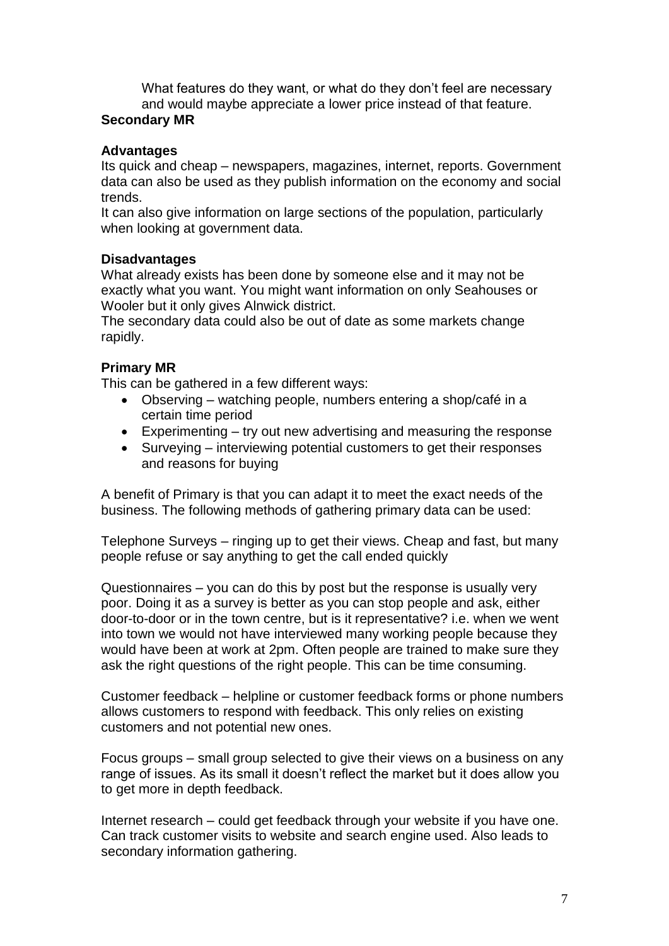What features do they want, or what do they don't feel are necessary and would maybe appreciate a lower price instead of that feature.

## **Secondary MR**

## **Advantages**

Its quick and cheap – newspapers, magazines, internet, reports. Government data can also be used as they publish information on the economy and social trends.

It can also give information on large sections of the population, particularly when looking at government data.

## **Disadvantages**

What already exists has been done by someone else and it may not be exactly what you want. You might want information on only Seahouses or Wooler but it only gives Alnwick district.

The secondary data could also be out of date as some markets change rapidly.

## **Primary MR**

This can be gathered in a few different ways:

- Observing watching people, numbers entering a shop/café in a certain time period
- Experimenting try out new advertising and measuring the response
- Surveying interviewing potential customers to get their responses and reasons for buying

A benefit of Primary is that you can adapt it to meet the exact needs of the business. The following methods of gathering primary data can be used:

Telephone Surveys – ringing up to get their views. Cheap and fast, but many people refuse or say anything to get the call ended quickly

Questionnaires – you can do this by post but the response is usually very poor. Doing it as a survey is better as you can stop people and ask, either door-to-door or in the town centre, but is it representative? i.e. when we went into town we would not have interviewed many working people because they would have been at work at 2pm. Often people are trained to make sure they ask the right questions of the right people. This can be time consuming.

Customer feedback – helpline or customer feedback forms or phone numbers allows customers to respond with feedback. This only relies on existing customers and not potential new ones.

Focus groups – small group selected to give their views on a business on any range of issues. As its small it doesn't reflect the market but it does allow you to get more in depth feedback.

Internet research – could get feedback through your website if you have one. Can track customer visits to website and search engine used. Also leads to secondary information gathering.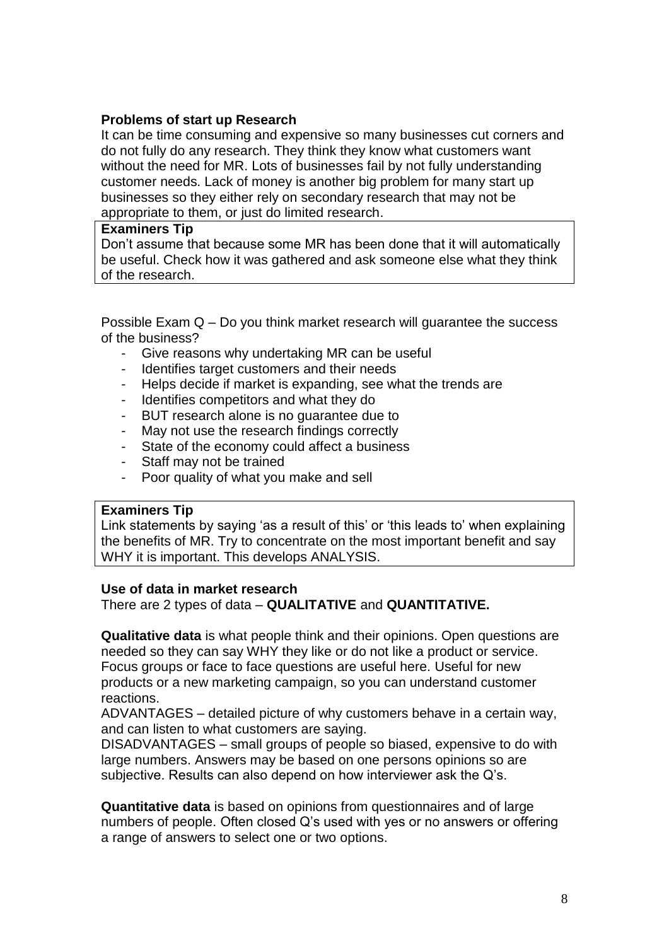### **Problems of start up Research**

It can be time consuming and expensive so many businesses cut corners and do not fully do any research. They think they know what customers want without the need for MR. Lots of businesses fail by not fully understanding customer needs. Lack of money is another big problem for many start up businesses so they either rely on secondary research that may not be appropriate to them, or just do limited research.

#### **Examiners Tip**

Don't assume that because some MR has been done that it will automatically be useful. Check how it was gathered and ask someone else what they think of the research.

Possible Exam Q – Do you think market research will guarantee the success of the business?

- Give reasons why undertaking MR can be useful
- Identifies target customers and their needs
- Helps decide if market is expanding, see what the trends are
- Identifies competitors and what they do
- BUT research alone is no guarantee due to
- May not use the research findings correctly
- State of the economy could affect a business
- Staff may not be trained
- Poor quality of what you make and sell

#### **Examiners Tip**

Link statements by saying 'as a result of this' or 'this leads to' when explaining the benefits of MR. Try to concentrate on the most important benefit and say WHY it is important. This develops ANALYSIS.

#### **Use of data in market research**

There are 2 types of data – **QUALITATIVE** and **QUANTITATIVE.**

**Qualitative data** is what people think and their opinions. Open questions are needed so they can say WHY they like or do not like a product or service. Focus groups or face to face questions are useful here. Useful for new products or a new marketing campaign, so you can understand customer reactions.

ADVANTAGES – detailed picture of why customers behave in a certain way, and can listen to what customers are saying.

DISADVANTAGES – small groups of people so biased, expensive to do with large numbers. Answers may be based on one persons opinions so are subjective. Results can also depend on how interviewer ask the Q's.

**Quantitative data** is based on opinions from questionnaires and of large numbers of people. Often closed Q's used with yes or no answers or offering a range of answers to select one or two options.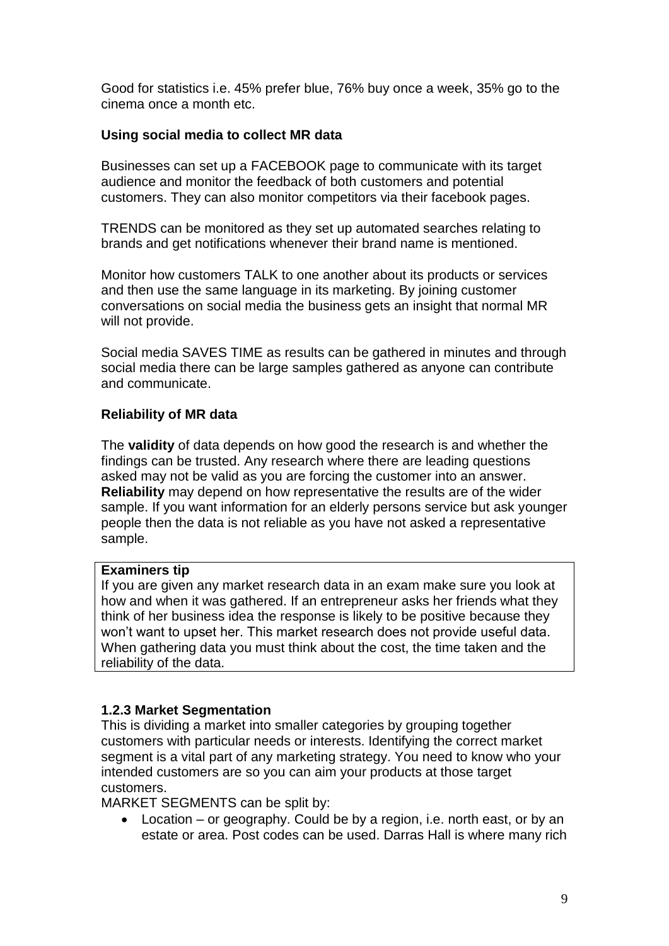Good for statistics i.e. 45% prefer blue, 76% buy once a week, 35% go to the cinema once a month etc.

## **Using social media to collect MR data**

Businesses can set up a FACEBOOK page to communicate with its target audience and monitor the feedback of both customers and potential customers. They can also monitor competitors via their facebook pages.

TRENDS can be monitored as they set up automated searches relating to brands and get notifications whenever their brand name is mentioned.

Monitor how customers TALK to one another about its products or services and then use the same language in its marketing. By joining customer conversations on social media the business gets an insight that normal MR will not provide.

Social media SAVES TIME as results can be gathered in minutes and through social media there can be large samples gathered as anyone can contribute and communicate.

## **Reliability of MR data**

The **validity** of data depends on how good the research is and whether the findings can be trusted. Any research where there are leading questions asked may not be valid as you are forcing the customer into an answer. **Reliability** may depend on how representative the results are of the wider sample. If you want information for an elderly persons service but ask younger people then the data is not reliable as you have not asked a representative sample.

### **Examiners tip**

If you are given any market research data in an exam make sure you look at how and when it was gathered. If an entrepreneur asks her friends what they think of her business idea the response is likely to be positive because they won't want to upset her. This market research does not provide useful data. When gathering data you must think about the cost, the time taken and the reliability of the data.

### **1.2.3 Market Segmentation**

This is dividing a market into smaller categories by grouping together customers with particular needs or interests. Identifying the correct market segment is a vital part of any marketing strategy. You need to know who your intended customers are so you can aim your products at those target customers.

MARKET SEGMENTS can be split by:

 Location – or geography. Could be by a region, i.e. north east, or by an estate or area. Post codes can be used. Darras Hall is where many rich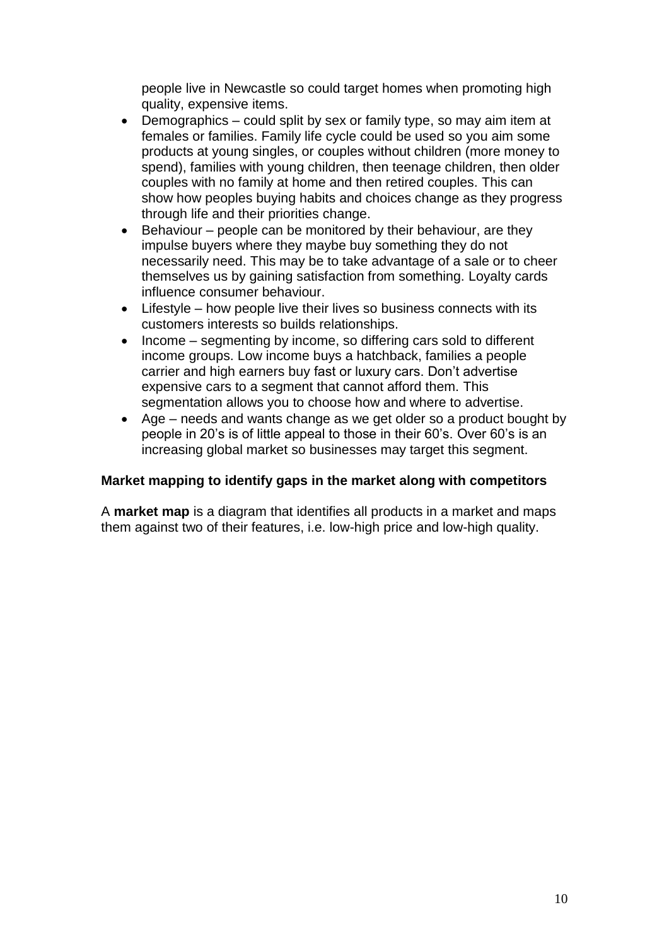people live in Newcastle so could target homes when promoting high quality, expensive items.

- Demographics could split by sex or family type, so may aim item at females or families. Family life cycle could be used so you aim some products at young singles, or couples without children (more money to spend), families with young children, then teenage children, then older couples with no family at home and then retired couples. This can show how peoples buying habits and choices change as they progress through life and their priorities change.
- Behaviour people can be monitored by their behaviour, are they impulse buyers where they maybe buy something they do not necessarily need. This may be to take advantage of a sale or to cheer themselves us by gaining satisfaction from something. Loyalty cards influence consumer behaviour.
- Lifestyle how people live their lives so business connects with its customers interests so builds relationships.
- Income segmenting by income, so differing cars sold to different income groups. Low income buys a hatchback, families a people carrier and high earners buy fast or luxury cars. Don't advertise expensive cars to a segment that cannot afford them. This segmentation allows you to choose how and where to advertise.
- Age needs and wants change as we get older so a product bought by people in 20's is of little appeal to those in their 60's. Over 60's is an increasing global market so businesses may target this segment.

## **Market mapping to identify gaps in the market along with competitors**

A **market map** is a diagram that identifies all products in a market and maps them against two of their features, i.e. low-high price and low-high quality.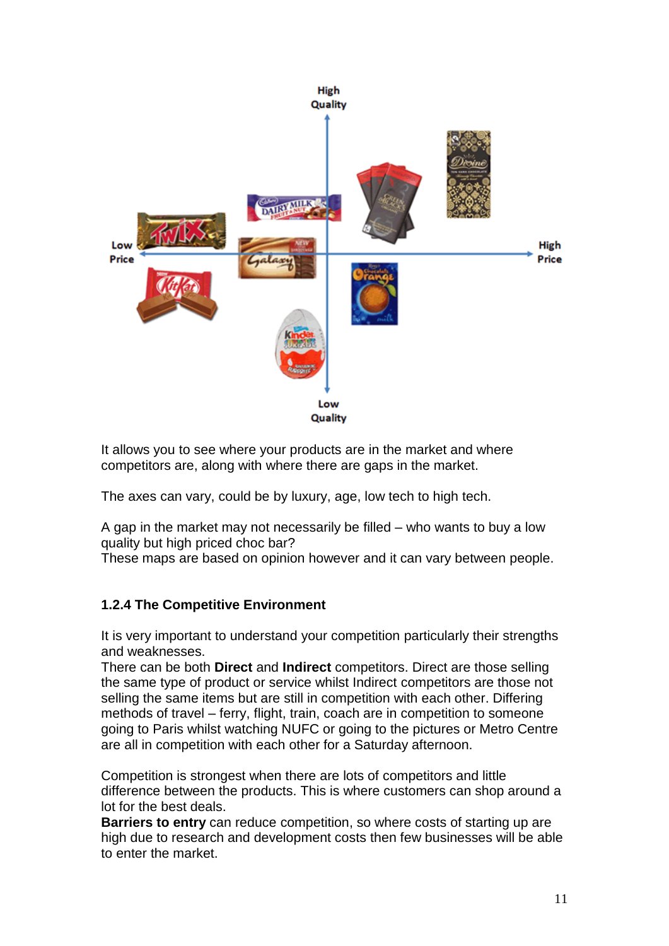

It allows you to see where your products are in the market and where competitors are, along with where there are gaps in the market.

The axes can vary, could be by luxury, age, low tech to high tech.

A gap in the market may not necessarily be filled – who wants to buy a low quality but high priced choc bar?

These maps are based on opinion however and it can vary between people.

# **1.2.4 The Competitive Environment**

It is very important to understand your competition particularly their strengths and weaknesses.

There can be both **Direct** and **Indirect** competitors. Direct are those selling the same type of product or service whilst Indirect competitors are those not selling the same items but are still in competition with each other. Differing methods of travel – ferry, flight, train, coach are in competition to someone going to Paris whilst watching NUFC or going to the pictures or Metro Centre are all in competition with each other for a Saturday afternoon.

Competition is strongest when there are lots of competitors and little difference between the products. This is where customers can shop around a lot for the best deals.

**Barriers to entry** can reduce competition, so where costs of starting up are high due to research and development costs then few businesses will be able to enter the market.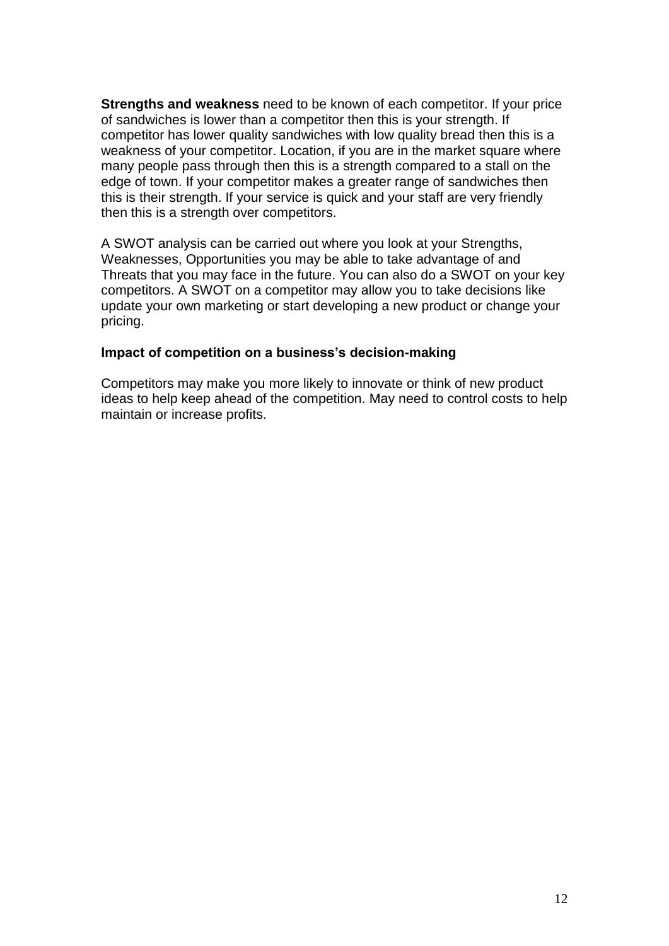**Strengths and weakness** need to be known of each competitor. If your price of sandwiches is lower than a competitor then this is your strength. If competitor has lower quality sandwiches with low quality bread then this is a weakness of your competitor. Location, if you are in the market square where many people pass through then this is a strength compared to a stall on the edge of town. If your competitor makes a greater range of sandwiches then this is their strength. If your service is quick and your staff are very friendly then this is a strength over competitors.

A SWOT analysis can be carried out where you look at your Strengths, Weaknesses, Opportunities you may be able to take advantage of and Threats that you may face in the future. You can also do a SWOT on your key competitors. A SWOT on a competitor may allow you to take decisions like update your own marketing or start developing a new product or change your pricing.

#### **Impact of competition on a business's decision-making**

Competitors may make you more likely to innovate or think of new product ideas to help keep ahead of the competition. May need to control costs to help maintain or increase profits.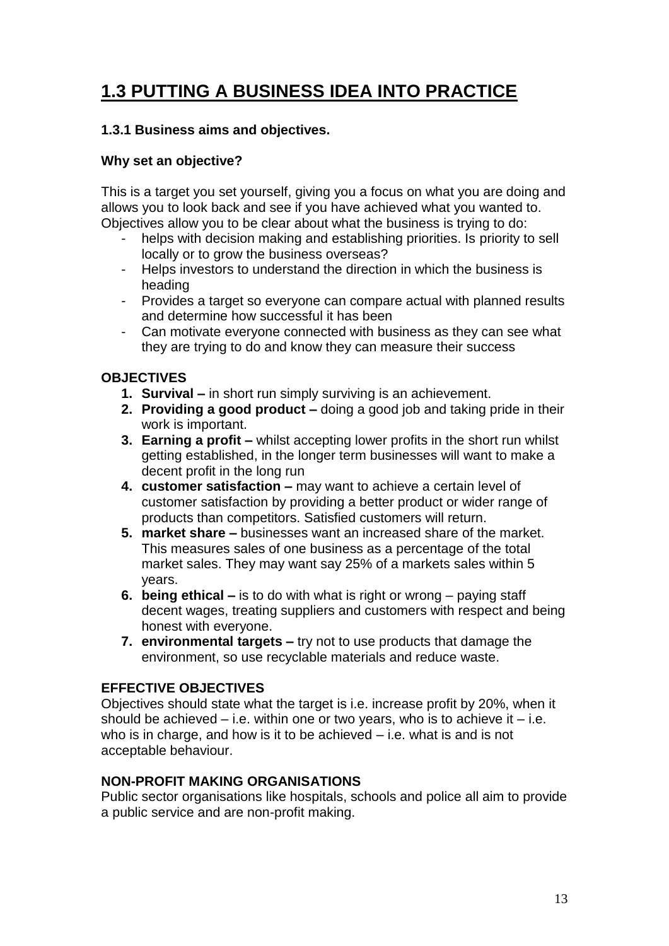# **1.3 PUTTING A BUSINESS IDEA INTO PRACTICE**

## **1.3.1 Business aims and objectives.**

## **Why set an objective?**

This is a target you set yourself, giving you a focus on what you are doing and allows you to look back and see if you have achieved what you wanted to. Objectives allow you to be clear about what the business is trying to do:

- helps with decision making and establishing priorities. Is priority to sell locally or to grow the business overseas?
- Helps investors to understand the direction in which the business is heading
- Provides a target so everyone can compare actual with planned results and determine how successful it has been
- Can motivate everyone connected with business as they can see what they are trying to do and know they can measure their success

## **OBJECTIVES**

- **1. Survival –** in short run simply surviving is an achievement.
- **2. Providing a good product –** doing a good job and taking pride in their work is important.
- **3. Earning a profit –** whilst accepting lower profits in the short run whilst getting established, in the longer term businesses will want to make a decent profit in the long run
- **4. customer satisfaction –** may want to achieve a certain level of customer satisfaction by providing a better product or wider range of products than competitors. Satisfied customers will return.
- **5. market share –** businesses want an increased share of the market. This measures sales of one business as a percentage of the total market sales. They may want say 25% of a markets sales within 5 years.
- **6. being ethical –** is to do with what is right or wrong paying staff decent wages, treating suppliers and customers with respect and being honest with everyone.
- **7. environmental targets –** try not to use products that damage the environment, so use recyclable materials and reduce waste.

### **EFFECTIVE OBJECTIVES**

Objectives should state what the target is i.e. increase profit by 20%, when it should be achieved  $-$  i.e. within one or two vears, who is to achieve it  $-$  i.e. who is in charge, and how is it to be achieved – i.e. what is and is not acceptable behaviour.

### **NON-PROFIT MAKING ORGANISATIONS**

Public sector organisations like hospitals, schools and police all aim to provide a public service and are non-profit making.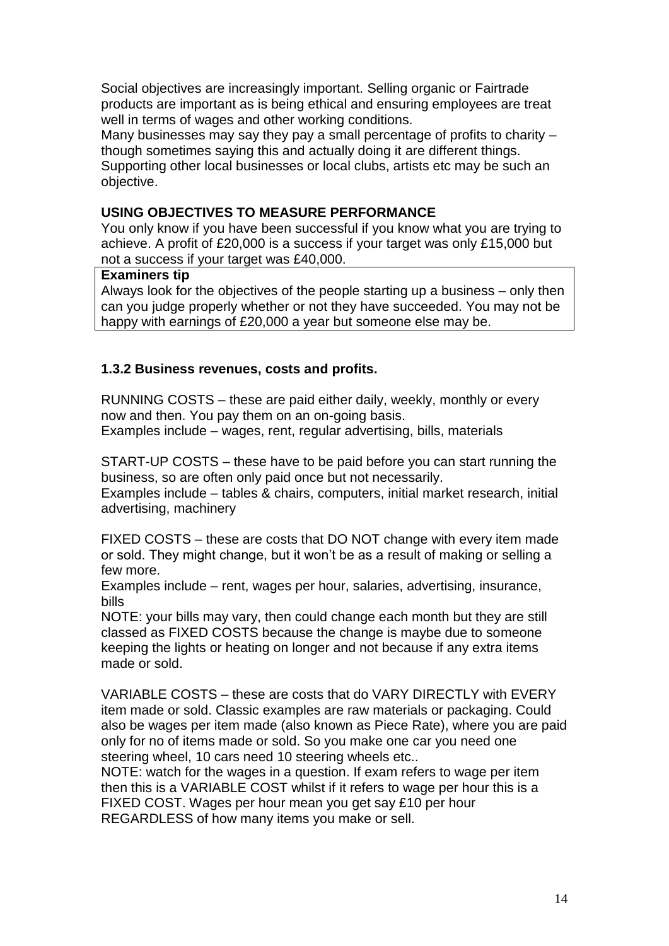Social objectives are increasingly important. Selling organic or Fairtrade products are important as is being ethical and ensuring employees are treat well in terms of wages and other working conditions.

Many businesses may say they pay a small percentage of profits to charity – though sometimes saying this and actually doing it are different things. Supporting other local businesses or local clubs, artists etc may be such an objective.

#### **USING OBJECTIVES TO MEASURE PERFORMANCE**

You only know if you have been successful if you know what you are trying to achieve. A profit of £20,000 is a success if your target was only £15,000 but not a success if your target was £40,000.

#### **Examiners tip**

Always look for the objectives of the people starting up a business – only then can you judge properly whether or not they have succeeded. You may not be happy with earnings of £20,000 a year but someone else may be.

## **1.3.2 Business revenues, costs and profits.**

RUNNING COSTS – these are paid either daily, weekly, monthly or every now and then. You pay them on an on-going basis.

Examples include – wages, rent, regular advertising, bills, materials

START-UP COSTS – these have to be paid before you can start running the business, so are often only paid once but not necessarily.

Examples include – tables & chairs, computers, initial market research, initial advertising, machinery

FIXED COSTS – these are costs that DO NOT change with every item made or sold. They might change, but it won't be as a result of making or selling a few more.

Examples include – rent, wages per hour, salaries, advertising, insurance, bills

NOTE: your bills may vary, then could change each month but they are still classed as FIXED COSTS because the change is maybe due to someone keeping the lights or heating on longer and not because if any extra items made or sold.

VARIABLE COSTS – these are costs that do VARY DIRECTLY with EVERY item made or sold. Classic examples are raw materials or packaging. Could also be wages per item made (also known as Piece Rate), where you are paid only for no of items made or sold. So you make one car you need one steering wheel, 10 cars need 10 steering wheels etc..

NOTE: watch for the wages in a question. If exam refers to wage per item then this is a VARIABLE COST whilst if it refers to wage per hour this is a FIXED COST. Wages per hour mean you get say £10 per hour REGARDLESS of how many items you make or sell.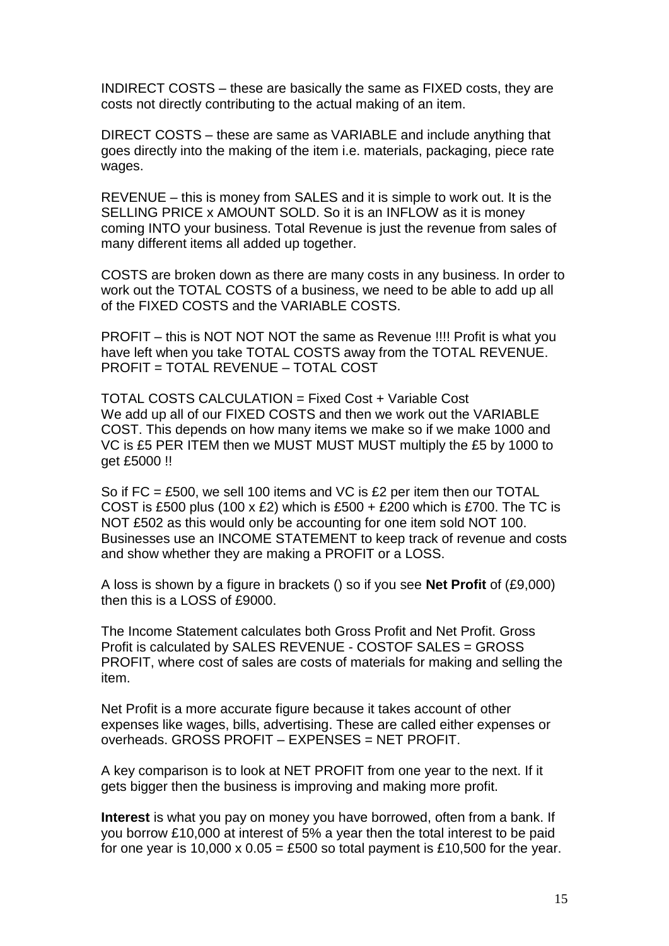INDIRECT COSTS – these are basically the same as FIXED costs, they are costs not directly contributing to the actual making of an item.

DIRECT COSTS – these are same as VARIABLE and include anything that goes directly into the making of the item i.e. materials, packaging, piece rate wages.

REVENUE – this is money from SALES and it is simple to work out. It is the SELLING PRICE x AMOUNT SOLD. So it is an INFLOW as it is money coming INTO your business. Total Revenue is just the revenue from sales of many different items all added up together.

COSTS are broken down as there are many costs in any business. In order to work out the TOTAL COSTS of a business, we need to be able to add up all of the FIXED COSTS and the VARIABLE COSTS.

PROFIT – this is NOT NOT NOT the same as Revenue !!!! Profit is what you have left when you take TOTAL COSTS away from the TOTAL REVENUE. PROFIT = TOTAL REVENUE – TOTAL COST

TOTAL COSTS CALCULATION = Fixed Cost + Variable Cost We add up all of our FIXED COSTS and then we work out the VARIABLE COST. This depends on how many items we make so if we make 1000 and VC is £5 PER ITEM then we MUST MUST MUST multiply the £5 by 1000 to get £5000 !!

So if FC = £500, we sell 100 items and VC is £2 per item then our TOTAL COST is £500 plus (100 x £2) which is £500 + £200 which is £700. The TC is NOT £502 as this would only be accounting for one item sold NOT 100. Businesses use an INCOME STATEMENT to keep track of revenue and costs and show whether they are making a PROFIT or a LOSS.

A loss is shown by a figure in brackets () so if you see **Net Profit** of (£9,000) then this is a LOSS of £9000.

The Income Statement calculates both Gross Profit and Net Profit. Gross Profit is calculated by SALES REVENUE - COSTOF SALES = GROSS PROFIT, where cost of sales are costs of materials for making and selling the item.

Net Profit is a more accurate figure because it takes account of other expenses like wages, bills, advertising. These are called either expenses or overheads. GROSS PROFIT – EXPENSES = NET PROFIT.

A key comparison is to look at NET PROFIT from one year to the next. If it gets bigger then the business is improving and making more profit.

**Interest** is what you pay on money you have borrowed, often from a bank. If you borrow £10,000 at interest of 5% a year then the total interest to be paid for one year is 10,000 x 0.05 = £500 so total payment is £10,500 for the year.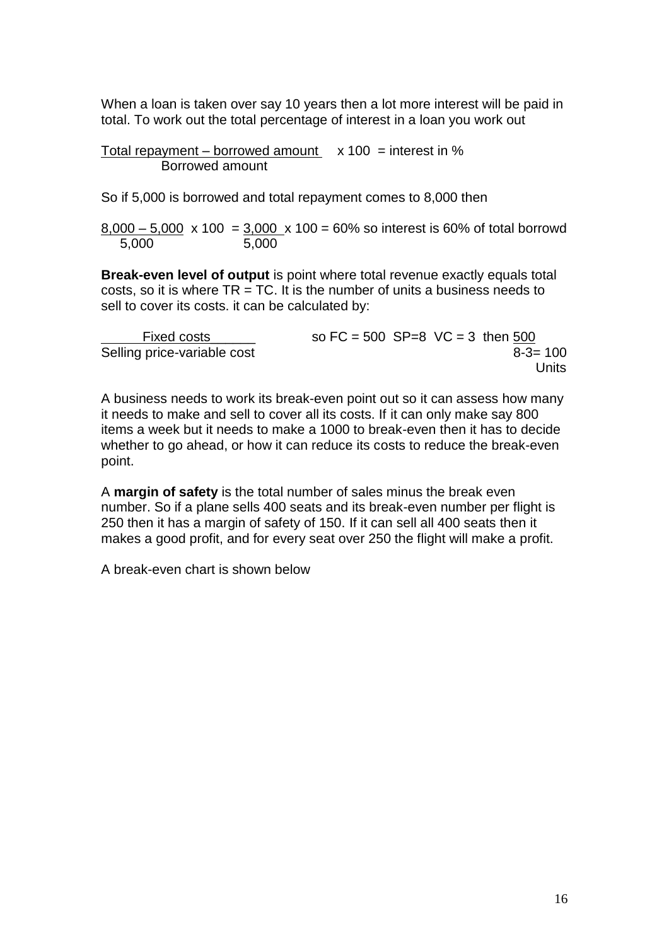When a loan is taken over say 10 years then a lot more interest will be paid in total. To work out the total percentage of interest in a loan you work out

Total repayment – borrowed amount  $x 100 =$  interest in % Borrowed amount

So if 5,000 is borrowed and total repayment comes to 8,000 then

 $8,000 - 5,000 \times 100 = 3,000 \times 100 = 60\%$  so interest is 60% of total borrowd 5,000 5,000

**Break-even level of output** is point where total revenue exactly equals total costs, so it is where  $TR = TC$ . It is the number of units a business needs to sell to cover its costs. it can be calculated by:

| Fixed costs                 | so $FC = 500$ $SP = 8$ $VC = 3$ then 500 |
|-----------------------------|------------------------------------------|
| Selling price-variable cost | $8 - 3 = 100$                            |
|                             | Units                                    |

A business needs to work its break-even point out so it can assess how many it needs to make and sell to cover all its costs. If it can only make say 800 items a week but it needs to make a 1000 to break-even then it has to decide whether to go ahead, or how it can reduce its costs to reduce the break-even point.

A **margin of safety** is the total number of sales minus the break even number. So if a plane sells 400 seats and its break-even number per flight is 250 then it has a margin of safety of 150. If it can sell all 400 seats then it makes a good profit, and for every seat over 250 the flight will make a profit.

A break-even chart is shown below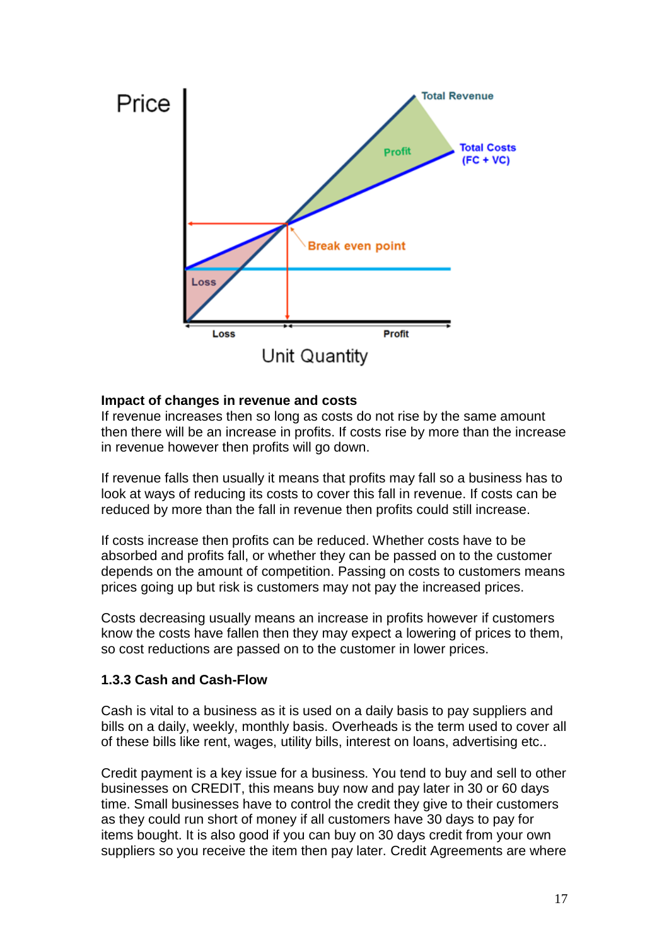

### **Impact of changes in revenue and costs**

If revenue increases then so long as costs do not rise by the same amount then there will be an increase in profits. If costs rise by more than the increase in revenue however then profits will go down.

If revenue falls then usually it means that profits may fall so a business has to look at ways of reducing its costs to cover this fall in revenue. If costs can be reduced by more than the fall in revenue then profits could still increase.

If costs increase then profits can be reduced. Whether costs have to be absorbed and profits fall, or whether they can be passed on to the customer depends on the amount of competition. Passing on costs to customers means prices going up but risk is customers may not pay the increased prices.

Costs decreasing usually means an increase in profits however if customers know the costs have fallen then they may expect a lowering of prices to them, so cost reductions are passed on to the customer in lower prices.

### **1.3.3 Cash and Cash-Flow**

Cash is vital to a business as it is used on a daily basis to pay suppliers and bills on a daily, weekly, monthly basis. Overheads is the term used to cover all of these bills like rent, wages, utility bills, interest on loans, advertising etc..

Credit payment is a key issue for a business. You tend to buy and sell to other businesses on CREDIT, this means buy now and pay later in 30 or 60 days time. Small businesses have to control the credit they give to their customers as they could run short of money if all customers have 30 days to pay for items bought. It is also good if you can buy on 30 days credit from your own suppliers so you receive the item then pay later. Credit Agreements are where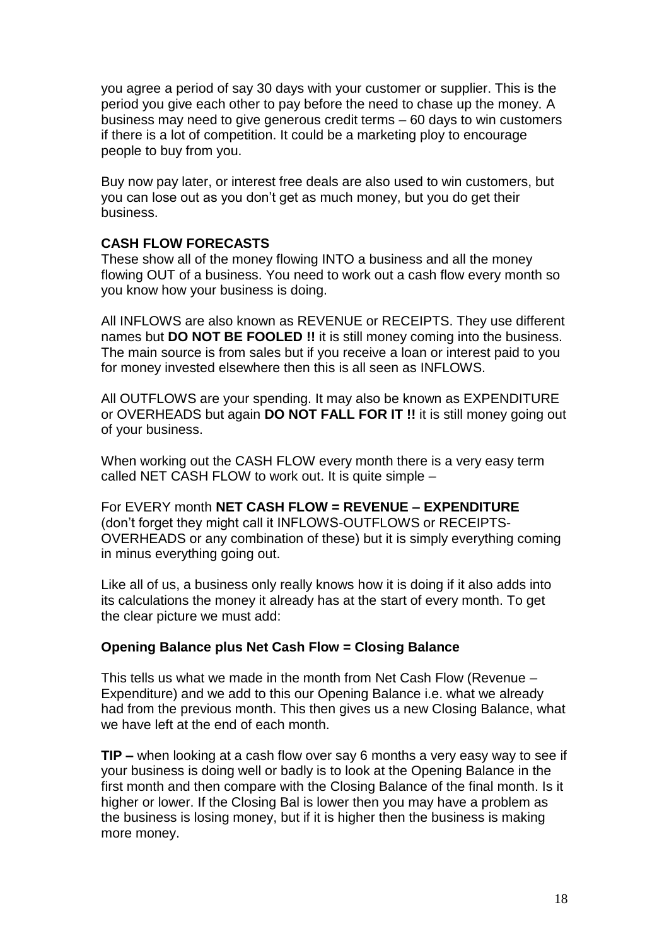you agree a period of say 30 days with your customer or supplier. This is the period you give each other to pay before the need to chase up the money. A business may need to give generous credit terms – 60 days to win customers if there is a lot of competition. It could be a marketing ploy to encourage people to buy from you.

Buy now pay later, or interest free deals are also used to win customers, but you can lose out as you don't get as much money, but you do get their business.

## **CASH FLOW FORECASTS**

These show all of the money flowing INTO a business and all the money flowing OUT of a business. You need to work out a cash flow every month so you know how your business is doing.

All INFLOWS are also known as REVENUE or RECEIPTS. They use different names but **DO NOT BE FOOLED !!** it is still money coming into the business. The main source is from sales but if you receive a loan or interest paid to you for money invested elsewhere then this is all seen as INFLOWS.

All OUTFLOWS are your spending. It may also be known as EXPENDITURE or OVERHEADS but again **DO NOT FALL FOR IT !!** it is still money going out of your business.

When working out the CASH FLOW every month there is a very easy term called NET CASH FLOW to work out. It is quite simple –

For EVERY month **NET CASH FLOW = REVENUE – EXPENDITURE**  (don't forget they might call it INFLOWS-OUTFLOWS or RECEIPTS-OVERHEADS or any combination of these) but it is simply everything coming in minus everything going out.

Like all of us, a business only really knows how it is doing if it also adds into its calculations the money it already has at the start of every month. To get the clear picture we must add:

### **Opening Balance plus Net Cash Flow = Closing Balance**

This tells us what we made in the month from Net Cash Flow (Revenue – Expenditure) and we add to this our Opening Balance i.e. what we already had from the previous month. This then gives us a new Closing Balance, what we have left at the end of each month.

**TIP –** when looking at a cash flow over say 6 months a very easy way to see if your business is doing well or badly is to look at the Opening Balance in the first month and then compare with the Closing Balance of the final month. Is it higher or lower. If the Closing Bal is lower then you may have a problem as the business is losing money, but if it is higher then the business is making more money.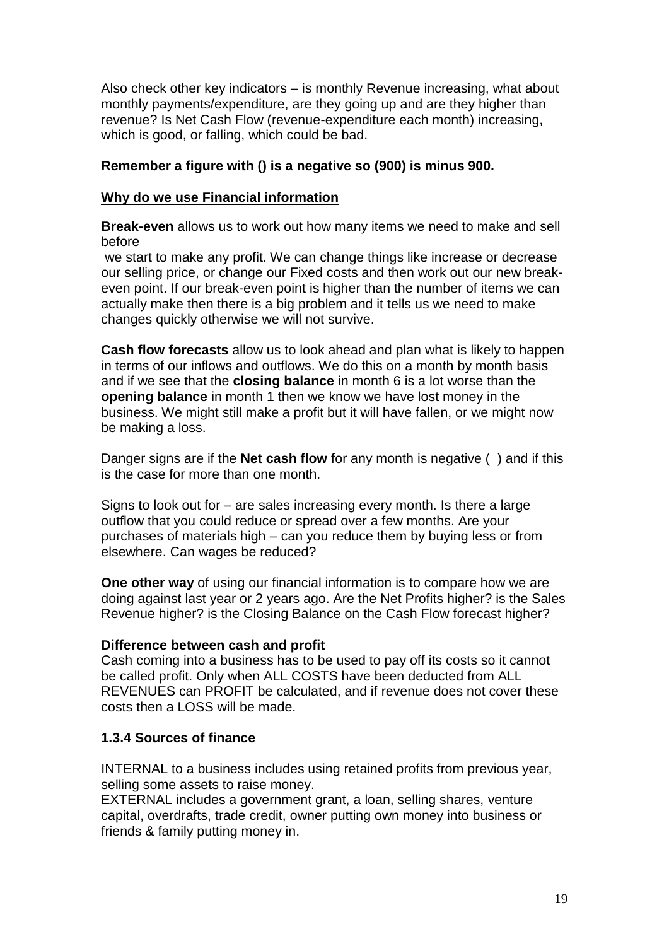Also check other key indicators – is monthly Revenue increasing, what about monthly payments/expenditure, are they going up and are they higher than revenue? Is Net Cash Flow (revenue-expenditure each month) increasing, which is good, or falling, which could be bad.

## **Remember a figure with () is a negative so (900) is minus 900.**

## **Why do we use Financial information**

**Break-even** allows us to work out how many items we need to make and sell before

we start to make any profit. We can change things like increase or decrease our selling price, or change our Fixed costs and then work out our new breakeven point. If our break-even point is higher than the number of items we can actually make then there is a big problem and it tells us we need to make changes quickly otherwise we will not survive.

**Cash flow forecasts** allow us to look ahead and plan what is likely to happen in terms of our inflows and outflows. We do this on a month by month basis and if we see that the **closing balance** in month 6 is a lot worse than the **opening balance** in month 1 then we know we have lost money in the business. We might still make a profit but it will have fallen, or we might now be making a loss.

Danger signs are if the **Net cash flow** for any month is negative ( ) and if this is the case for more than one month.

Signs to look out for – are sales increasing every month. Is there a large outflow that you could reduce or spread over a few months. Are your purchases of materials high – can you reduce them by buying less or from elsewhere. Can wages be reduced?

**One other way** of using our financial information is to compare how we are doing against last year or 2 years ago. Are the Net Profits higher? is the Sales Revenue higher? is the Closing Balance on the Cash Flow forecast higher?

### **Difference between cash and profit**

Cash coming into a business has to be used to pay off its costs so it cannot be called profit. Only when ALL COSTS have been deducted from ALL REVENUES can PROFIT be calculated, and if revenue does not cover these costs then a LOSS will be made.

### **1.3.4 Sources of finance**

INTERNAL to a business includes using retained profits from previous year, selling some assets to raise money.

EXTERNAL includes a government grant, a loan, selling shares, venture capital, overdrafts, trade credit, owner putting own money into business or friends & family putting money in.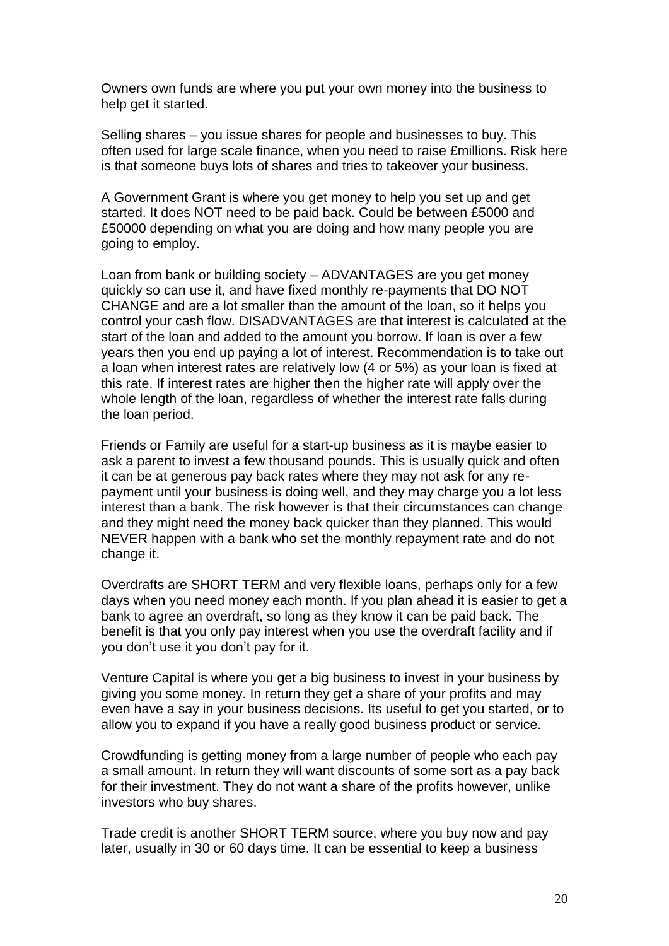Owners own funds are where you put your own money into the business to help get it started.

Selling shares – you issue shares for people and businesses to buy. This often used for large scale finance, when you need to raise £millions. Risk here is that someone buys lots of shares and tries to takeover your business.

A Government Grant is where you get money to help you set up and get started. It does NOT need to be paid back. Could be between £5000 and £50000 depending on what you are doing and how many people you are going to employ.

Loan from bank or building society – ADVANTAGES are you get money quickly so can use it, and have fixed monthly re-payments that DO NOT CHANGE and are a lot smaller than the amount of the loan, so it helps you control your cash flow. DISADVANTAGES are that interest is calculated at the start of the loan and added to the amount you borrow. If loan is over a few years then you end up paying a lot of interest. Recommendation is to take out a loan when interest rates are relatively low (4 or 5%) as your loan is fixed at this rate. If interest rates are higher then the higher rate will apply over the whole length of the loan, regardless of whether the interest rate falls during the loan period.

Friends or Family are useful for a start-up business as it is maybe easier to ask a parent to invest a few thousand pounds. This is usually quick and often it can be at generous pay back rates where they may not ask for any repayment until your business is doing well, and they may charge you a lot less interest than a bank. The risk however is that their circumstances can change and they might need the money back quicker than they planned. This would NEVER happen with a bank who set the monthly repayment rate and do not change it.

Overdrafts are SHORT TERM and very flexible loans, perhaps only for a few days when you need money each month. If you plan ahead it is easier to get a bank to agree an overdraft, so long as they know it can be paid back. The benefit is that you only pay interest when you use the overdraft facility and if you don't use it you don't pay for it.

Venture Capital is where you get a big business to invest in your business by giving you some money. In return they get a share of your profits and may even have a say in your business decisions. Its useful to get you started, or to allow you to expand if you have a really good business product or service.

Crowdfunding is getting money from a large number of people who each pay a small amount. In return they will want discounts of some sort as a pay back for their investment. They do not want a share of the profits however, unlike investors who buy shares.

Trade credit is another SHORT TERM source, where you buy now and pay later, usually in 30 or 60 days time. It can be essential to keep a business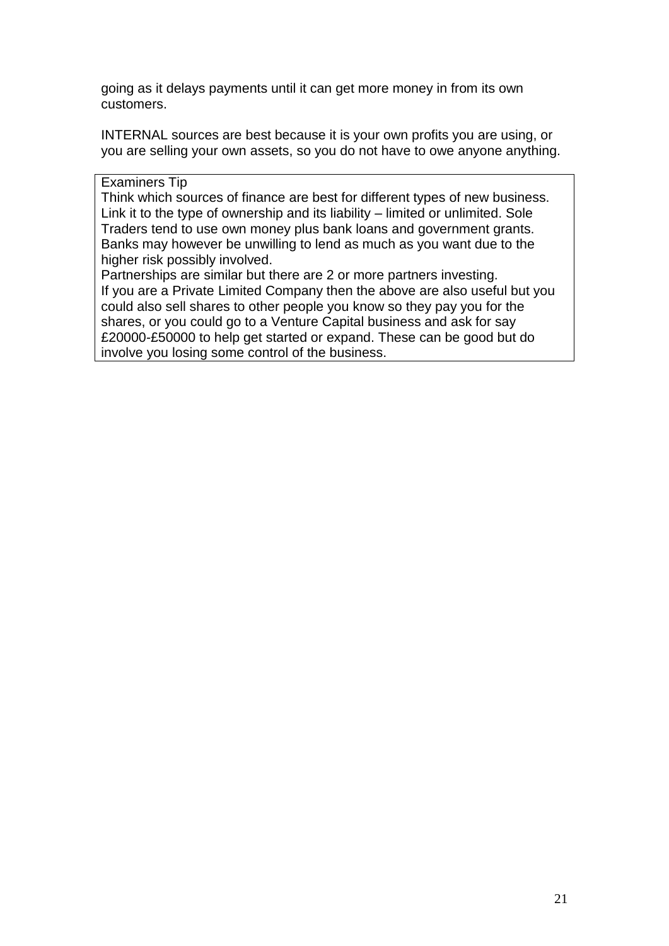going as it delays payments until it can get more money in from its own customers.

INTERNAL sources are best because it is your own profits you are using, or you are selling your own assets, so you do not have to owe anyone anything.

## Examiners Tip

Think which sources of finance are best for different types of new business. Link it to the type of ownership and its liability – limited or unlimited. Sole Traders tend to use own money plus bank loans and government grants. Banks may however be unwilling to lend as much as you want due to the higher risk possibly involved.

Partnerships are similar but there are 2 or more partners investing. If you are a Private Limited Company then the above are also useful but you could also sell shares to other people you know so they pay you for the shares, or you could go to a Venture Capital business and ask for say £20000-£50000 to help get started or expand. These can be good but do involve you losing some control of the business.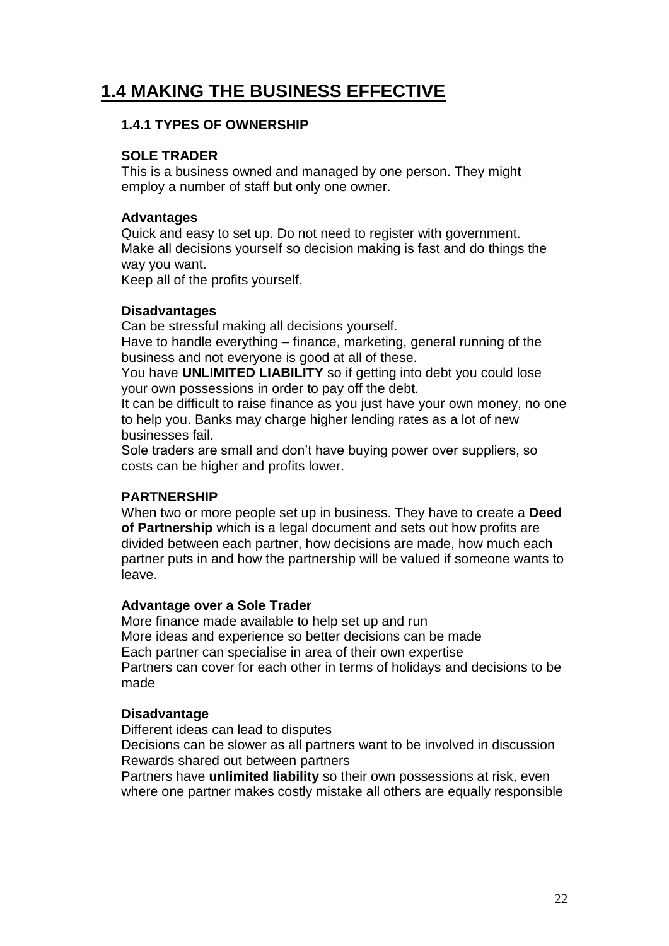# **1.4 MAKING THE BUSINESS EFFECTIVE**

# **1.4.1 TYPES OF OWNERSHIP**

## **SOLE TRADER**

This is a business owned and managed by one person. They might employ a number of staff but only one owner.

## **Advantages**

Quick and easy to set up. Do not need to register with government. Make all decisions yourself so decision making is fast and do things the way you want.

Keep all of the profits yourself.

# **Disadvantages**

Can be stressful making all decisions yourself.

Have to handle everything – finance, marketing, general running of the business and not everyone is good at all of these.

You have **UNLIMITED LIABILITY** so if getting into debt you could lose your own possessions in order to pay off the debt.

It can be difficult to raise finance as you just have your own money, no one to help you. Banks may charge higher lending rates as a lot of new businesses fail.

Sole traders are small and don't have buying power over suppliers, so costs can be higher and profits lower.

# **PARTNERSHIP**

When two or more people set up in business. They have to create a **Deed of Partnership** which is a legal document and sets out how profits are divided between each partner, how decisions are made, how much each partner puts in and how the partnership will be valued if someone wants to leave.

### **Advantage over a Sole Trader**

More finance made available to help set up and run More ideas and experience so better decisions can be made Each partner can specialise in area of their own expertise Partners can cover for each other in terms of holidays and decisions to be made

### **Disadvantage**

Different ideas can lead to disputes

Decisions can be slower as all partners want to be involved in discussion Rewards shared out between partners

Partners have **unlimited liability** so their own possessions at risk, even where one partner makes costly mistake all others are equally responsible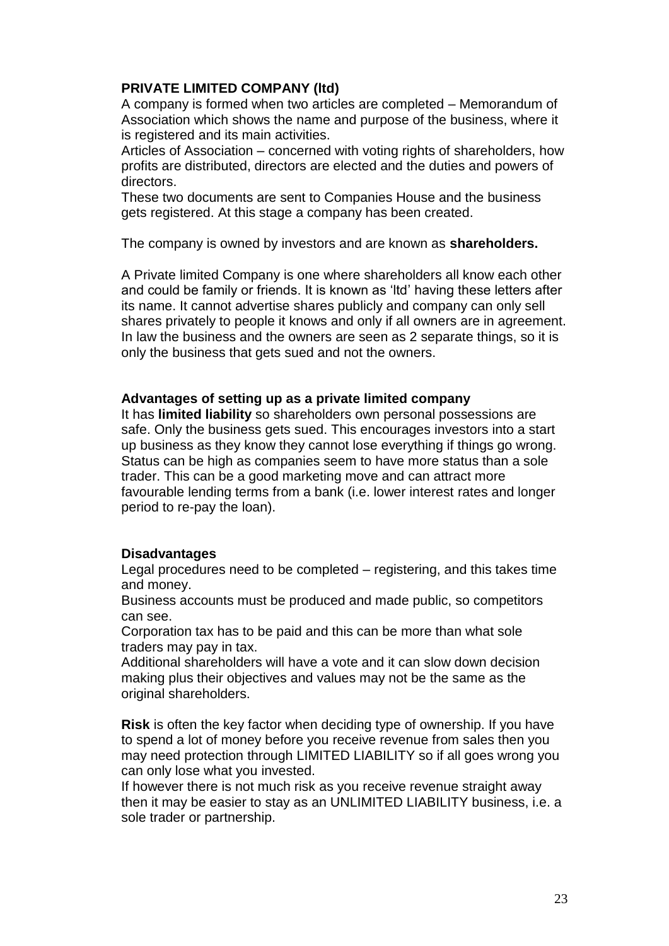## **PRIVATE LIMITED COMPANY (ltd)**

A company is formed when two articles are completed – Memorandum of Association which shows the name and purpose of the business, where it is registered and its main activities.

Articles of Association – concerned with voting rights of shareholders, how profits are distributed, directors are elected and the duties and powers of directors.

These two documents are sent to Companies House and the business gets registered. At this stage a company has been created.

The company is owned by investors and are known as **shareholders.**

A Private limited Company is one where shareholders all know each other and could be family or friends. It is known as 'ltd' having these letters after its name. It cannot advertise shares publicly and company can only sell shares privately to people it knows and only if all owners are in agreement. In law the business and the owners are seen as 2 separate things, so it is only the business that gets sued and not the owners.

### **Advantages of setting up as a private limited company**

It has **limited liability** so shareholders own personal possessions are safe. Only the business gets sued. This encourages investors into a start up business as they know they cannot lose everything if things go wrong. Status can be high as companies seem to have more status than a sole trader. This can be a good marketing move and can attract more favourable lending terms from a bank (i.e. lower interest rates and longer period to re-pay the loan).

### **Disadvantages**

Legal procedures need to be completed – registering, and this takes time and money.

Business accounts must be produced and made public, so competitors can see.

Corporation tax has to be paid and this can be more than what sole traders may pay in tax.

Additional shareholders will have a vote and it can slow down decision making plus their objectives and values may not be the same as the original shareholders.

**Risk** is often the key factor when deciding type of ownership. If you have to spend a lot of money before you receive revenue from sales then you may need protection through LIMITED LIABILITY so if all goes wrong you can only lose what you invested.

If however there is not much risk as you receive revenue straight away then it may be easier to stay as an UNLIMITED LIABILITY business, i.e. a sole trader or partnership.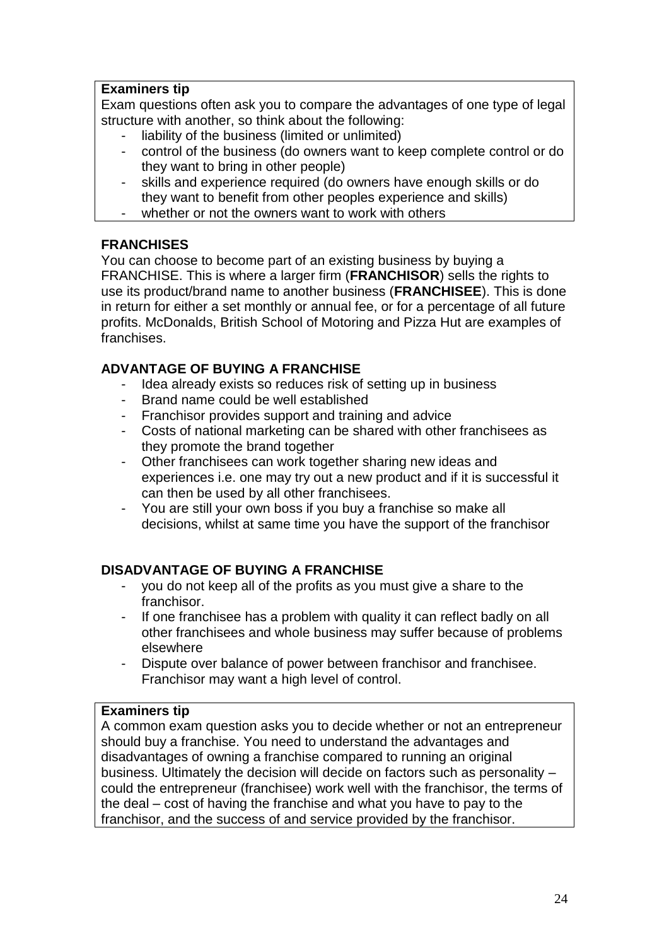## **Examiners tip**

Exam questions often ask you to compare the advantages of one type of legal structure with another, so think about the following:

- liability of the business (limited or unlimited)
- control of the business (do owners want to keep complete control or do they want to bring in other people)
- skills and experience required (do owners have enough skills or do they want to benefit from other peoples experience and skills)
- whether or not the owners want to work with others

## **FRANCHISES**

You can choose to become part of an existing business by buying a FRANCHISE. This is where a larger firm (**FRANCHISOR**) sells the rights to use its product/brand name to another business (**FRANCHISEE**). This is done in return for either a set monthly or annual fee, or for a percentage of all future profits. McDonalds, British School of Motoring and Pizza Hut are examples of franchises.

# **ADVANTAGE OF BUYING A FRANCHISE**

- Idea already exists so reduces risk of setting up in business
- Brand name could be well established
- Franchisor provides support and training and advice
- Costs of national marketing can be shared with other franchisees as they promote the brand together
- Other franchisees can work together sharing new ideas and experiences i.e. one may try out a new product and if it is successful it can then be used by all other franchisees.
- You are still your own boss if you buy a franchise so make all decisions, whilst at same time you have the support of the franchisor

# **DISADVANTAGE OF BUYING A FRANCHISE**

- you do not keep all of the profits as you must give a share to the franchisor.
- If one franchisee has a problem with quality it can reflect badly on all other franchisees and whole business may suffer because of problems elsewhere
- Dispute over balance of power between franchisor and franchisee. Franchisor may want a high level of control.

### **Examiners tip**

A common exam question asks you to decide whether or not an entrepreneur should buy a franchise. You need to understand the advantages and disadvantages of owning a franchise compared to running an original business. Ultimately the decision will decide on factors such as personality – could the entrepreneur (franchisee) work well with the franchisor, the terms of the deal – cost of having the franchise and what you have to pay to the franchisor, and the success of and service provided by the franchisor.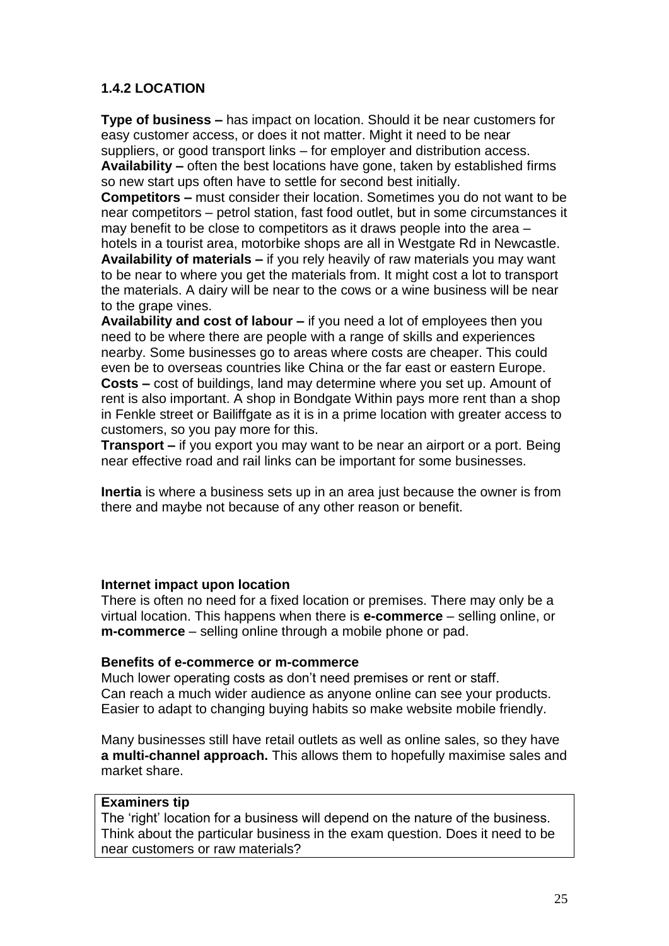# **1.4.2 LOCATION**

**Type of business –** has impact on location. Should it be near customers for easy customer access, or does it not matter. Might it need to be near suppliers, or good transport links – for employer and distribution access.

**Availability –** often the best locations have gone, taken by established firms so new start ups often have to settle for second best initially.

**Competitors –** must consider their location. Sometimes you do not want to be near competitors – petrol station, fast food outlet, but in some circumstances it may benefit to be close to competitors as it draws people into the area –

hotels in a tourist area, motorbike shops are all in Westgate Rd in Newcastle. **Availability of materials –** if you rely heavily of raw materials you may want to be near to where you get the materials from. It might cost a lot to transport the materials. A dairy will be near to the cows or a wine business will be near to the grape vines.

**Availability and cost of labour –** if you need a lot of employees then you need to be where there are people with a range of skills and experiences nearby. Some businesses go to areas where costs are cheaper. This could even be to overseas countries like China or the far east or eastern Europe. **Costs –** cost of buildings, land may determine where you set up. Amount of rent is also important. A shop in Bondgate Within pays more rent than a shop in Fenkle street or Bailiffgate as it is in a prime location with greater access to customers, so you pay more for this.

**Transport –** if you export you may want to be near an airport or a port. Being near effective road and rail links can be important for some businesses.

**Inertia** is where a business sets up in an area just because the owner is from there and maybe not because of any other reason or benefit.

### **Internet impact upon location**

There is often no need for a fixed location or premises. There may only be a virtual location. This happens when there is **e-commerce** – selling online, or **m-commerce** – selling online through a mobile phone or pad.

#### **Benefits of e-commerce or m-commerce**

Much lower operating costs as don't need premises or rent or staff. Can reach a much wider audience as anyone online can see your products. Easier to adapt to changing buying habits so make website mobile friendly.

Many businesses still have retail outlets as well as online sales, so they have **a multi-channel approach.** This allows them to hopefully maximise sales and market share.

#### **Examiners tip**

The 'right' location for a business will depend on the nature of the business. Think about the particular business in the exam question. Does it need to be near customers or raw materials?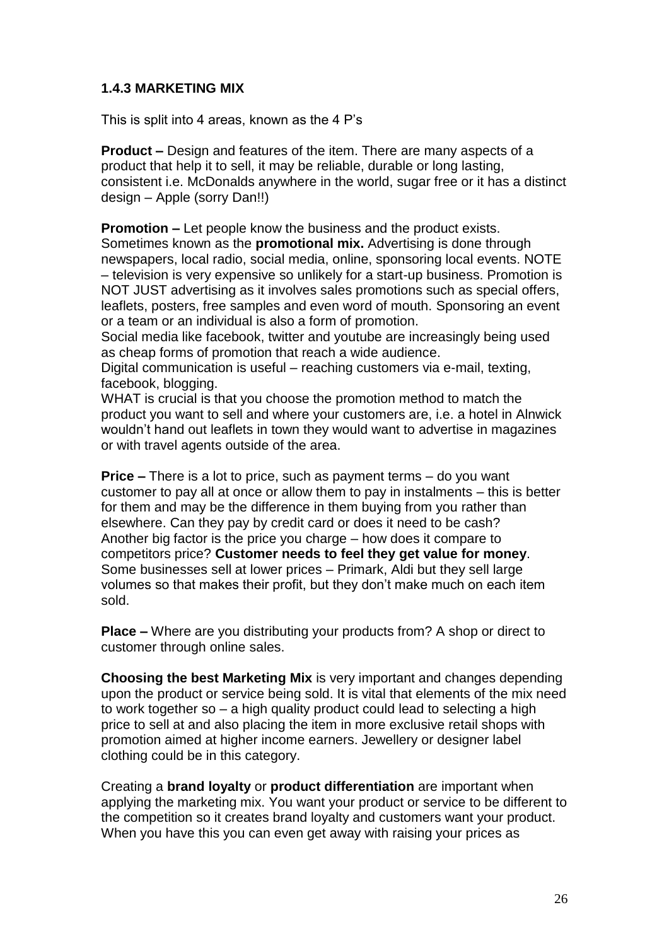# **1.4.3 MARKETING MIX**

This is split into 4 areas, known as the 4 P's

**Product –** Design and features of the item. There are many aspects of a product that help it to sell, it may be reliable, durable or long lasting, consistent i.e. McDonalds anywhere in the world, sugar free or it has a distinct design – Apple (sorry Dan!!)

**Promotion –** Let people know the business and the product exists. Sometimes known as the **promotional mix.** Advertising is done through newspapers, local radio, social media, online, sponsoring local events. NOTE – television is very expensive so unlikely for a start-up business. Promotion is NOT JUST advertising as it involves sales promotions such as special offers, leaflets, posters, free samples and even word of mouth. Sponsoring an event or a team or an individual is also a form of promotion.

Social media like facebook, twitter and youtube are increasingly being used as cheap forms of promotion that reach a wide audience.

Digital communication is useful – reaching customers via e-mail, texting, facebook, blogging.

WHAT is crucial is that you choose the promotion method to match the product you want to sell and where your customers are, i.e. a hotel in Alnwick wouldn't hand out leaflets in town they would want to advertise in magazines or with travel agents outside of the area.

**Price –** There is a lot to price, such as payment terms – do you want customer to pay all at once or allow them to pay in instalments – this is better for them and may be the difference in them buying from you rather than elsewhere. Can they pay by credit card or does it need to be cash? Another big factor is the price you charge – how does it compare to competitors price? **Customer needs to feel they get value for money**. Some businesses sell at lower prices – Primark, Aldi but they sell large volumes so that makes their profit, but they don't make much on each item sold.

**Place –** Where are you distributing your products from? A shop or direct to customer through online sales.

**Choosing the best Marketing Mix** is very important and changes depending upon the product or service being sold. It is vital that elements of the mix need to work together so – a high quality product could lead to selecting a high price to sell at and also placing the item in more exclusive retail shops with promotion aimed at higher income earners. Jewellery or designer label clothing could be in this category.

Creating a **brand loyalty** or **product differentiation** are important when applying the marketing mix. You want your product or service to be different to the competition so it creates brand loyalty and customers want your product. When you have this you can even get away with raising your prices as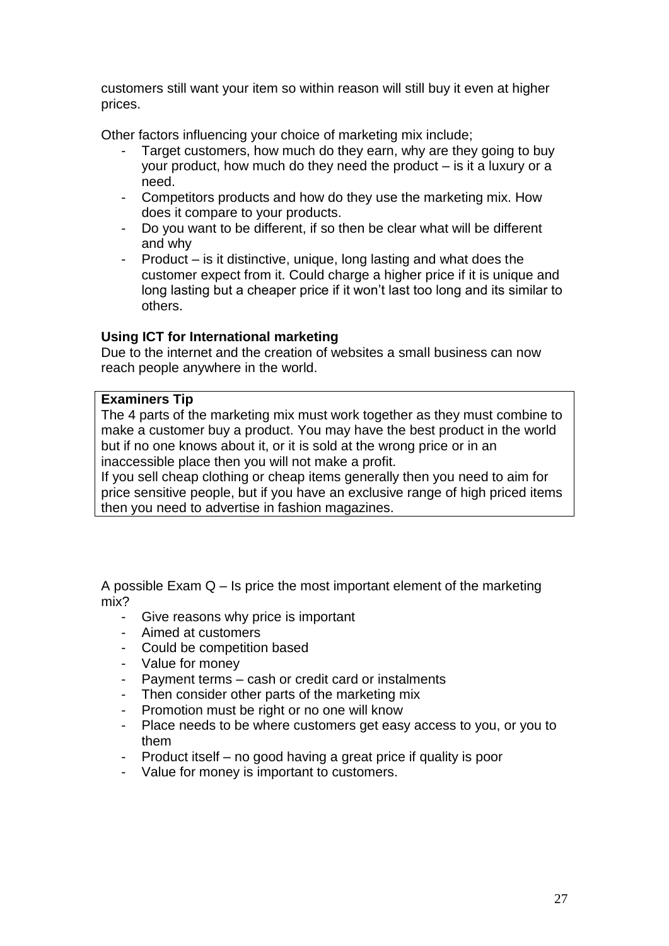customers still want your item so within reason will still buy it even at higher prices.

Other factors influencing your choice of marketing mix include;

- Target customers, how much do they earn, why are they going to buy your product, how much do they need the product – is it a luxury or a need.
- Competitors products and how do they use the marketing mix. How does it compare to your products.
- Do you want to be different, if so then be clear what will be different and why
- Product is it distinctive, unique, long lasting and what does the customer expect from it. Could charge a higher price if it is unique and long lasting but a cheaper price if it won't last too long and its similar to others.

# **Using ICT for International marketing**

Due to the internet and the creation of websites a small business can now reach people anywhere in the world.

### **Examiners Tip**

The 4 parts of the marketing mix must work together as they must combine to make a customer buy a product. You may have the best product in the world but if no one knows about it, or it is sold at the wrong price or in an inaccessible place then you will not make a profit.

If you sell cheap clothing or cheap items generally then you need to aim for price sensitive people, but if you have an exclusive range of high priced items then you need to advertise in fashion magazines.

A possible Exam Q – Is price the most important element of the marketing mix?

- Give reasons why price is important
- Aimed at customers
- Could be competition based
- Value for money
- Payment terms cash or credit card or instalments
- Then consider other parts of the marketing mix
- Promotion must be right or no one will know
- Place needs to be where customers get easy access to you, or you to them
- Product itself no good having a great price if quality is poor
- Value for money is important to customers.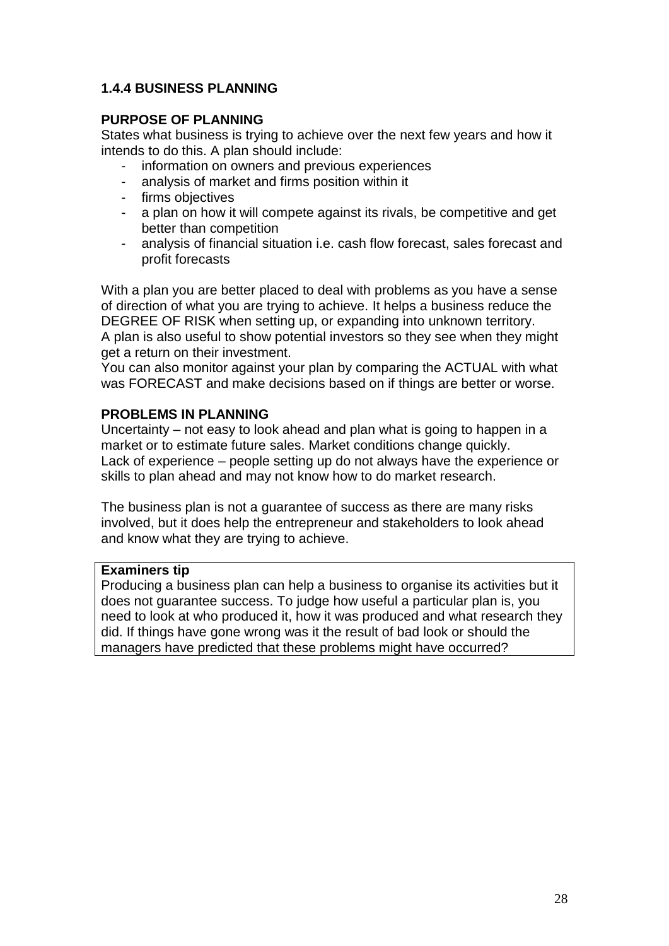# **1.4.4 BUSINESS PLANNING**

## **PURPOSE OF PLANNING**

States what business is trying to achieve over the next few years and how it intends to do this. A plan should include:

- information on owners and previous experiences
- analysis of market and firms position within it
- firms objectives
- a plan on how it will compete against its rivals, be competitive and get better than competition
- analysis of financial situation i.e. cash flow forecast, sales forecast and profit forecasts

With a plan you are better placed to deal with problems as you have a sense of direction of what you are trying to achieve. It helps a business reduce the DEGREE OF RISK when setting up, or expanding into unknown territory. A plan is also useful to show potential investors so they see when they might get a return on their investment.

You can also monitor against your plan by comparing the ACTUAL with what was FORECAST and make decisions based on if things are better or worse.

## **PROBLEMS IN PLANNING**

Uncertainty – not easy to look ahead and plan what is going to happen in a market or to estimate future sales. Market conditions change quickly. Lack of experience – people setting up do not always have the experience or skills to plan ahead and may not know how to do market research.

The business plan is not a guarantee of success as there are many risks involved, but it does help the entrepreneur and stakeholders to look ahead and know what they are trying to achieve.

### **Examiners tip**

Producing a business plan can help a business to organise its activities but it does not guarantee success. To judge how useful a particular plan is, you need to look at who produced it, how it was produced and what research they did. If things have gone wrong was it the result of bad look or should the managers have predicted that these problems might have occurred?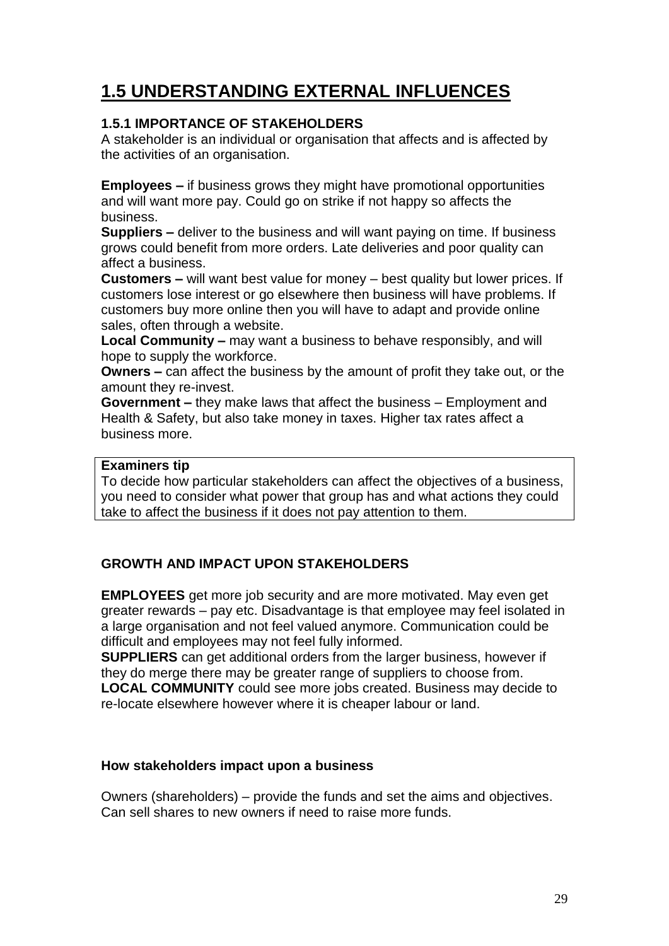# **1.5 UNDERSTANDING EXTERNAL INFLUENCES**

# **1.5.1 IMPORTANCE OF STAKEHOLDERS**

A stakeholder is an individual or organisation that affects and is affected by the activities of an organisation.

**Employees –** if business grows they might have promotional opportunities and will want more pay. Could go on strike if not happy so affects the business.

**Suppliers –** deliver to the business and will want paying on time. If business grows could benefit from more orders. Late deliveries and poor quality can affect a business.

**Customers –** will want best value for money – best quality but lower prices. If customers lose interest or go elsewhere then business will have problems. If customers buy more online then you will have to adapt and provide online sales, often through a website.

**Local Community –** may want a business to behave responsibly, and will hope to supply the workforce.

**Owners –** can affect the business by the amount of profit they take out, or the amount they re-invest.

**Government –** they make laws that affect the business – Employment and Health & Safety, but also take money in taxes. Higher tax rates affect a business more.

## **Examiners tip**

To decide how particular stakeholders can affect the objectives of a business, you need to consider what power that group has and what actions they could take to affect the business if it does not pay attention to them.

# **GROWTH AND IMPACT UPON STAKEHOLDERS**

**EMPLOYEES** get more job security and are more motivated. May even get greater rewards – pay etc. Disadvantage is that employee may feel isolated in a large organisation and not feel valued anymore. Communication could be difficult and employees may not feel fully informed.

**SUPPLIERS** can get additional orders from the larger business, however if they do merge there may be greater range of suppliers to choose from. **LOCAL COMMUNITY** could see more jobs created. Business may decide to re-locate elsewhere however where it is cheaper labour or land.

# **How stakeholders impact upon a business**

Owners (shareholders) – provide the funds and set the aims and objectives. Can sell shares to new owners if need to raise more funds.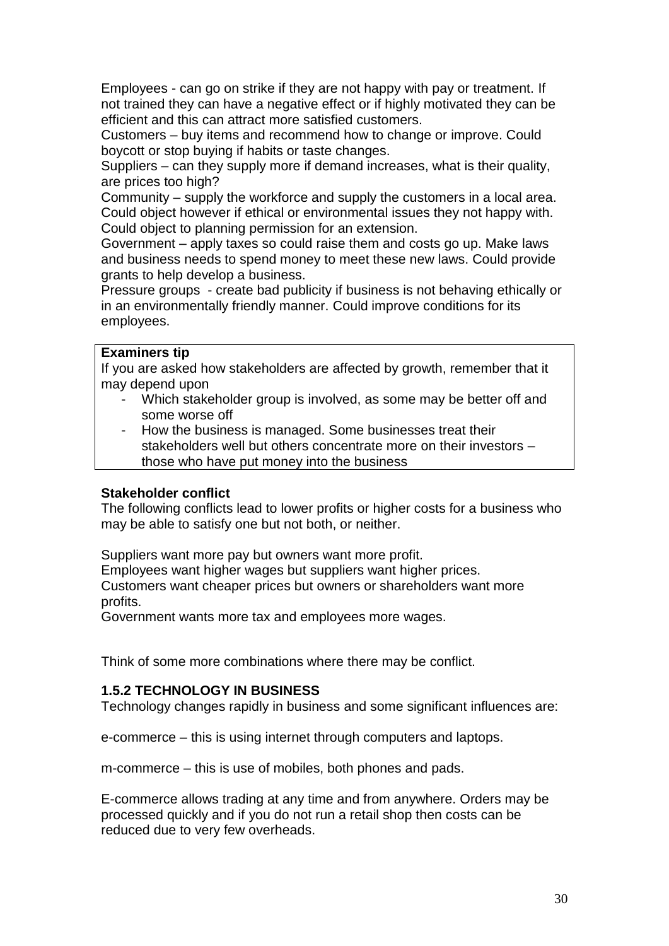Employees - can go on strike if they are not happy with pay or treatment. If not trained they can have a negative effect or if highly motivated they can be efficient and this can attract more satisfied customers.

Customers – buy items and recommend how to change or improve. Could boycott or stop buying if habits or taste changes.

Suppliers – can they supply more if demand increases, what is their quality, are prices too high?

Community – supply the workforce and supply the customers in a local area. Could object however if ethical or environmental issues they not happy with. Could object to planning permission for an extension.

Government – apply taxes so could raise them and costs go up. Make laws and business needs to spend money to meet these new laws. Could provide grants to help develop a business.

Pressure groups - create bad publicity if business is not behaving ethically or in an environmentally friendly manner. Could improve conditions for its employees.

#### **Examiners tip**

If you are asked how stakeholders are affected by growth, remember that it may depend upon

- Which stakeholder group is involved, as some may be better off and some worse off
- How the business is managed. Some businesses treat their stakeholders well but others concentrate more on their investors – those who have put money into the business

#### **Stakeholder conflict**

The following conflicts lead to lower profits or higher costs for a business who may be able to satisfy one but not both, or neither.

Suppliers want more pay but owners want more profit.

Employees want higher wages but suppliers want higher prices.

Customers want cheaper prices but owners or shareholders want more profits.

Government wants more tax and employees more wages.

Think of some more combinations where there may be conflict.

### **1.5.2 TECHNOLOGY IN BUSINESS**

Technology changes rapidly in business and some significant influences are:

e-commerce – this is using internet through computers and laptops.

m-commerce – this is use of mobiles, both phones and pads.

E-commerce allows trading at any time and from anywhere. Orders may be processed quickly and if you do not run a retail shop then costs can be reduced due to very few overheads.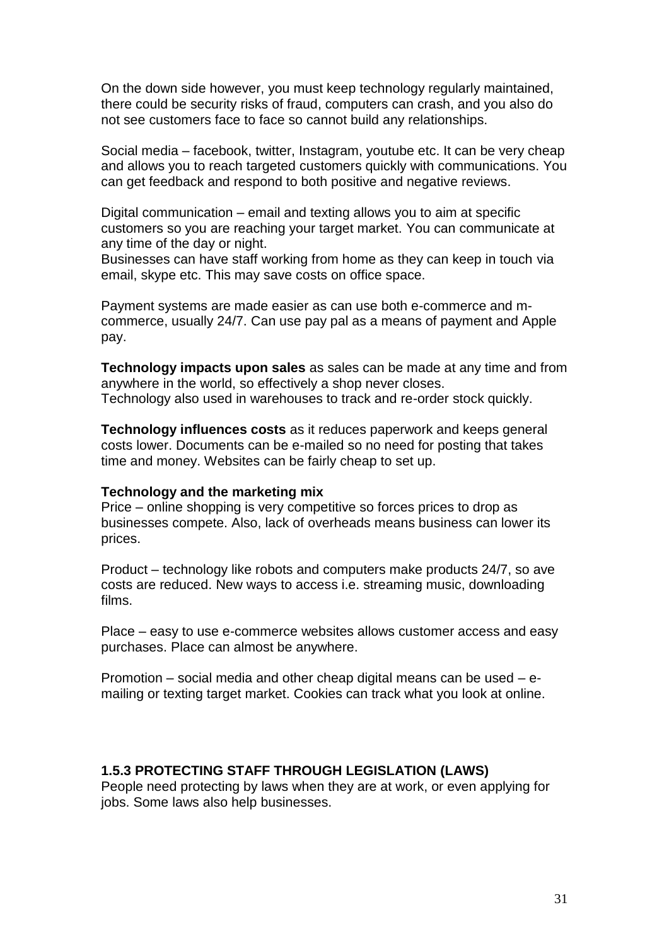On the down side however, you must keep technology regularly maintained, there could be security risks of fraud, computers can crash, and you also do not see customers face to face so cannot build any relationships.

Social media – facebook, twitter, Instagram, youtube etc. It can be very cheap and allows you to reach targeted customers quickly with communications. You can get feedback and respond to both positive and negative reviews.

Digital communication – email and texting allows you to aim at specific customers so you are reaching your target market. You can communicate at any time of the day or night.

Businesses can have staff working from home as they can keep in touch via email, skype etc. This may save costs on office space.

Payment systems are made easier as can use both e-commerce and mcommerce, usually 24/7. Can use pay pal as a means of payment and Apple pay.

**Technology impacts upon sales** as sales can be made at any time and from anywhere in the world, so effectively a shop never closes. Technology also used in warehouses to track and re-order stock quickly.

**Technology influences costs** as it reduces paperwork and keeps general costs lower. Documents can be e-mailed so no need for posting that takes time and money. Websites can be fairly cheap to set up.

#### **Technology and the marketing mix**

Price – online shopping is very competitive so forces prices to drop as businesses compete. Also, lack of overheads means business can lower its prices.

Product – technology like robots and computers make products 24/7, so ave costs are reduced. New ways to access i.e. streaming music, downloading films.

Place – easy to use e-commerce websites allows customer access and easy purchases. Place can almost be anywhere.

Promotion – social media and other cheap digital means can be used – emailing or texting target market. Cookies can track what you look at online.

#### **1.5.3 PROTECTING STAFF THROUGH LEGISLATION (LAWS)**

People need protecting by laws when they are at work, or even applying for jobs. Some laws also help businesses.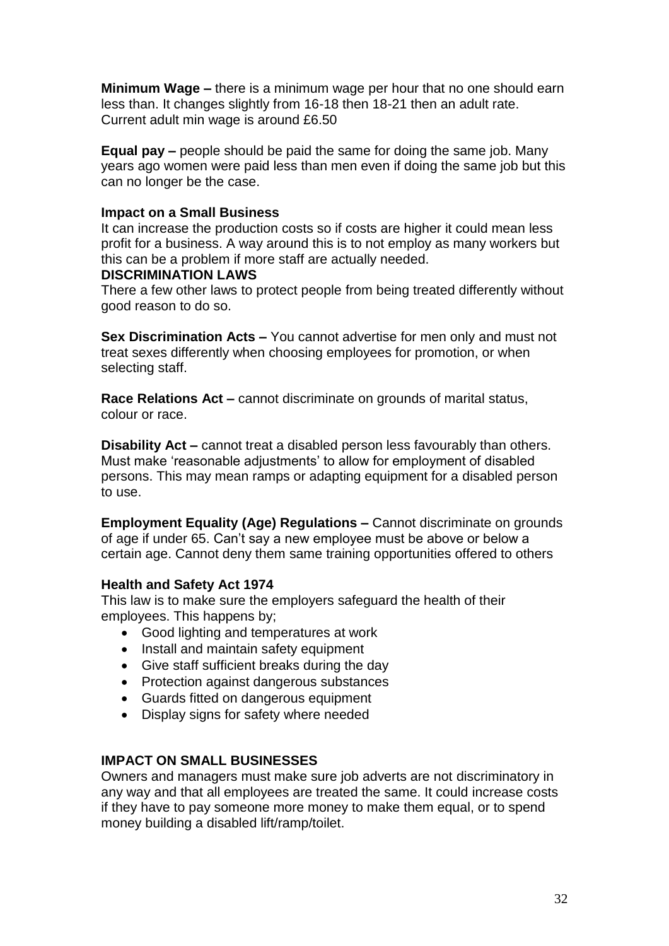**Minimum Wage –** there is a minimum wage per hour that no one should earn less than. It changes slightly from 16-18 then 18-21 then an adult rate. Current adult min wage is around £6.50

**Equal pay –** people should be paid the same for doing the same job. Many years ago women were paid less than men even if doing the same job but this can no longer be the case.

#### **Impact on a Small Business**

It can increase the production costs so if costs are higher it could mean less profit for a business. A way around this is to not employ as many workers but this can be a problem if more staff are actually needed.

#### **DISCRIMINATION LAWS**

There a few other laws to protect people from being treated differently without good reason to do so.

**Sex Discrimination Acts –** You cannot advertise for men only and must not treat sexes differently when choosing employees for promotion, or when selecting staff.

**Race Relations Act –** cannot discriminate on grounds of marital status, colour or race.

**Disability Act –** cannot treat a disabled person less favourably than others. Must make 'reasonable adjustments' to allow for employment of disabled persons. This may mean ramps or adapting equipment for a disabled person to use.

**Employment Equality (Age) Regulations –** Cannot discriminate on grounds of age if under 65. Can't say a new employee must be above or below a certain age. Cannot deny them same training opportunities offered to others

### **Health and Safety Act 1974**

This law is to make sure the employers safeguard the health of their employees. This happens by;

- Good lighting and temperatures at work
- Install and maintain safety equipment
- Give staff sufficient breaks during the day
- Protection against dangerous substances
- Guards fitted on dangerous equipment
- Display signs for safety where needed

### **IMPACT ON SMALL BUSINESSES**

Owners and managers must make sure job adverts are not discriminatory in any way and that all employees are treated the same. It could increase costs if they have to pay someone more money to make them equal, or to spend money building a disabled lift/ramp/toilet.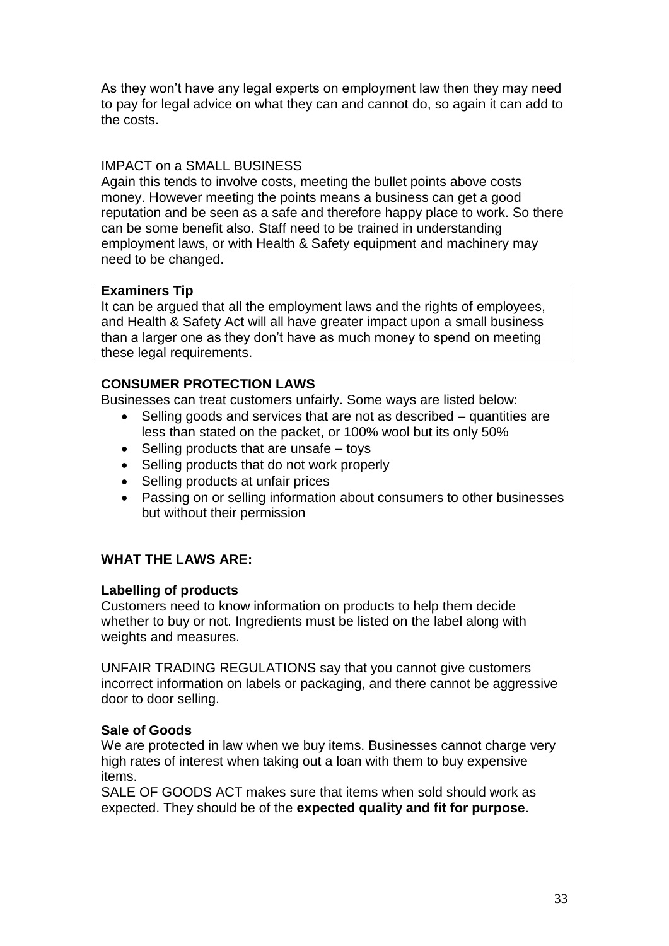As they won't have any legal experts on employment law then they may need to pay for legal advice on what they can and cannot do, so again it can add to the costs.

## IMPACT on a SMALL BUSINESS

Again this tends to involve costs, meeting the bullet points above costs money. However meeting the points means a business can get a good reputation and be seen as a safe and therefore happy place to work. So there can be some benefit also. Staff need to be trained in understanding employment laws, or with Health & Safety equipment and machinery may need to be changed.

## **Examiners Tip**

It can be argued that all the employment laws and the rights of employees, and Health & Safety Act will all have greater impact upon a small business than a larger one as they don't have as much money to spend on meeting these legal requirements.

# **CONSUMER PROTECTION LAWS**

Businesses can treat customers unfairly. Some ways are listed below:

- Selling goods and services that are not as described quantities are less than stated on the packet, or 100% wool but its only 50%
- $\bullet$  Selling products that are unsafe toys
- Selling products that do not work properly
- Selling products at unfair prices
- Passing on or selling information about consumers to other businesses but without their permission

# **WHAT THE LAWS ARE:**

### **Labelling of products**

Customers need to know information on products to help them decide whether to buy or not. Ingredients must be listed on the label along with weights and measures.

UNFAIR TRADING REGULATIONS say that you cannot give customers incorrect information on labels or packaging, and there cannot be aggressive door to door selling.

### **Sale of Goods**

We are protected in law when we buy items. Businesses cannot charge very high rates of interest when taking out a loan with them to buy expensive items.

SALE OF GOODS ACT makes sure that items when sold should work as expected. They should be of the **expected quality and fit for purpose**.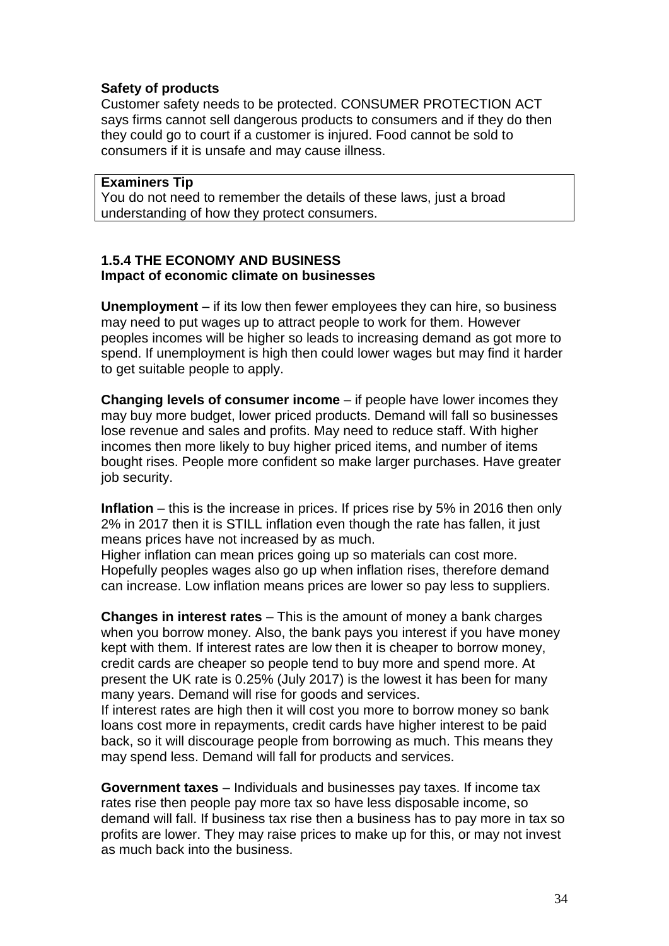## **Safety of products**

Customer safety needs to be protected. CONSUMER PROTECTION ACT says firms cannot sell dangerous products to consumers and if they do then they could go to court if a customer is injured. Food cannot be sold to consumers if it is unsafe and may cause illness.

#### **Examiners Tip**

You do not need to remember the details of these laws, just a broad understanding of how they protect consumers.

#### **1.5.4 THE ECONOMY AND BUSINESS Impact of economic climate on businesses**

**Unemployment** – if its low then fewer employees they can hire, so business may need to put wages up to attract people to work for them. However peoples incomes will be higher so leads to increasing demand as got more to spend. If unemployment is high then could lower wages but may find it harder to get suitable people to apply.

**Changing levels of consumer income** – if people have lower incomes they may buy more budget, lower priced products. Demand will fall so businesses lose revenue and sales and profits. May need to reduce staff. With higher incomes then more likely to buy higher priced items, and number of items bought rises. People more confident so make larger purchases. Have greater job security.

**Inflation** – this is the increase in prices. If prices rise by 5% in 2016 then only 2% in 2017 then it is STILL inflation even though the rate has fallen, it just means prices have not increased by as much.

Higher inflation can mean prices going up so materials can cost more. Hopefully peoples wages also go up when inflation rises, therefore demand can increase. Low inflation means prices are lower so pay less to suppliers.

**Changes in interest rates** – This is the amount of money a bank charges when you borrow money. Also, the bank pays you interest if you have money kept with them. If interest rates are low then it is cheaper to borrow money, credit cards are cheaper so people tend to buy more and spend more. At present the UK rate is 0.25% (July 2017) is the lowest it has been for many many years. Demand will rise for goods and services.

If interest rates are high then it will cost you more to borrow money so bank loans cost more in repayments, credit cards have higher interest to be paid back, so it will discourage people from borrowing as much. This means they may spend less. Demand will fall for products and services.

**Government taxes** – Individuals and businesses pay taxes. If income tax rates rise then people pay more tax so have less disposable income, so demand will fall. If business tax rise then a business has to pay more in tax so profits are lower. They may raise prices to make up for this, or may not invest as much back into the business.